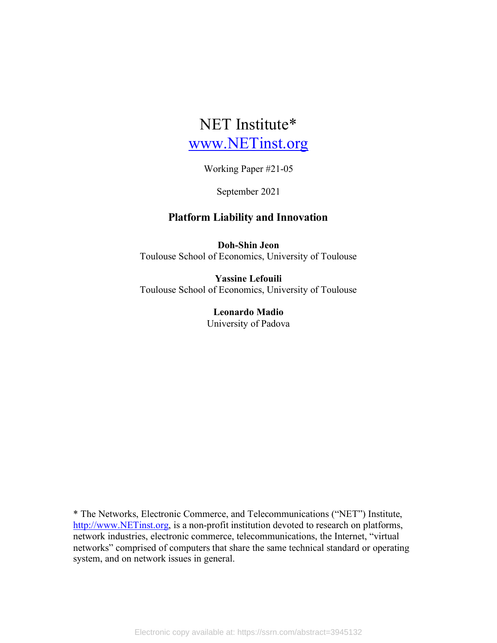# NET Institute\* www.NETinst.org

Working Paper #21-05

September 2021

# **Platform Liability and Innovation**

**Doh-Shin Jeon** Toulouse School of Economics, University of Toulouse

**Yassine Lefouili** Toulouse School of Economics, University of Toulouse

> **Leonardo Madio** University of Padova

\* The Networks, Electronic Commerce, and Telecommunications ("NET") Institute, http://www.NETinst.org, is a non-profit institution devoted to research on platforms, network industries, electronic commerce, telecommunications, the Internet, "virtual networks" comprised of computers that share the same technical standard or operating system, and on network issues in general.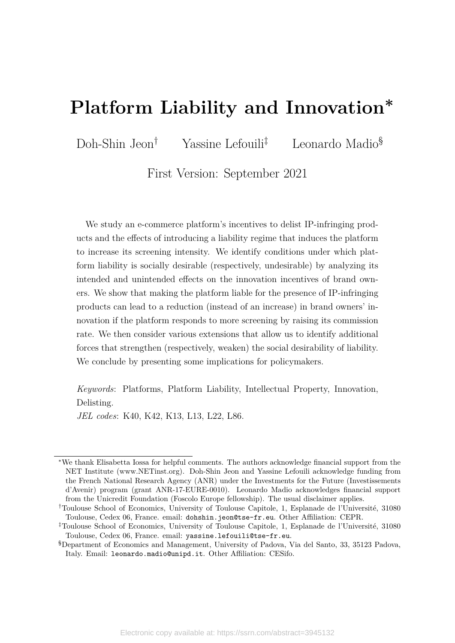# **Platform Liability and Innovation<sup>∗</sup>**

Doh-Shin Jeon† Yassine Lefouili‡ Leonardo Madio§

First Version: September 2021

We study an e-commerce platform's incentives to delist IP-infringing products and the effects of introducing a liability regime that induces the platform to increase its screening intensity. We identify conditions under which platform liability is socially desirable (respectively, undesirable) by analyzing its intended and unintended effects on the innovation incentives of brand owners. We show that making the platform liable for the presence of IP-infringing products can lead to a reduction (instead of an increase) in brand owners' innovation if the platform responds to more screening by raising its commission rate. We then consider various extensions that allow us to identify additional forces that strengthen (respectively, weaken) the social desirability of liability. We conclude by presenting some implications for policymakers.

*Keywords*: Platforms, Platform Liability, Intellectual Property, Innovation, Delisting.

*JEL codes*: K40, K42, K13, L13, L22, L86.

<sup>∗</sup>We thank Elisabetta Iossa for helpful comments. The authors acknowledge financial support from the NET Institute (www.NETinst.org). Doh-Shin Jeon and Yassine Lefouili acknowledge funding from the French National Research Agency (ANR) under the Investments for the Future (Investissements d'Avenir) program (grant ANR-17-EURE-0010). Leonardo Madio acknowledges financial support from the Unicredit Foundation (Foscolo Europe fellowship). The usual disclaimer applies.

<sup>†</sup>Toulouse School of Economics, University of Toulouse Capitole, 1, Esplanade de l'Université, 31080 Toulouse, Cedex 06, France. email: dohshin.jeon@tse-fr.eu. Other Affiliation: CEPR.

<sup>‡</sup>Toulouse School of Economics, University of Toulouse Capitole, 1, Esplanade de l'Université, 31080 Toulouse, Cedex 06, France. email: yassine.lefouili@tse-fr.eu.

<sup>§</sup>Department of Economics and Management, University of Padova, Via del Santo, 33, 35123 Padova, Italy. Email: leonardo.madio@unipd.it. Other Affiliation: CESifo.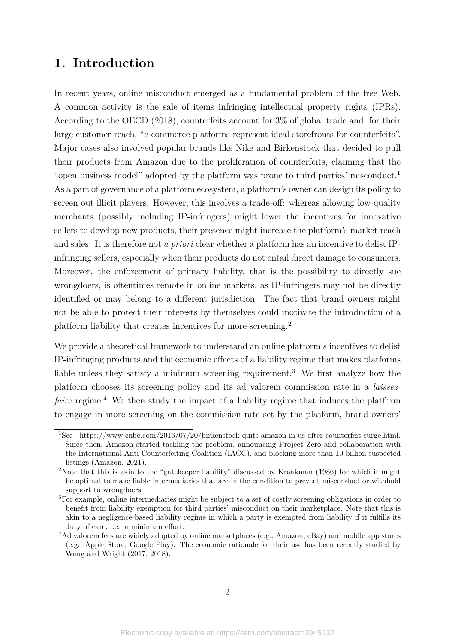# **1. Introduction**

In recent years, online misconduct emerged as a fundamental problem of the free Web. A common activity is the sale of items infringing intellectual property rights (IPRs). According to the OECD (2018), counterfeits account for 3% of global trade and, for their large customer reach, "e-commerce platforms represent ideal storefronts for counterfeits". Major cases also involved popular brands like Nike and Birkenstock that decided to pull their products from Amazon due to the proliferation of counterfeits, claiming that the "open business model" adopted by the platform was prone to third parties' misconduct.<sup>1</sup> As a part of governance of a platform ecosystem, a platform's owner can design its policy to screen out illicit players. However, this involves a trade-off: whereas allowing low-quality merchants (possibly including IP-infringers) might lower the incentives for innovative sellers to develop new products, their presence might increase the platform's market reach and sales. It is therefore not *a priori* clear whether a platform has an incentive to delist IPinfringing sellers, especially when their products do not entail direct damage to consumers. Moreover, the enforcement of primary liability, that is the possibility to directly sue wrongdoers, is oftentimes remote in online markets, as IP-infringers may not be directly identified or may belong to a different jurisdiction. The fact that brand owners might not be able to protect their interests by themselves could motivate the introduction of a platform liability that creates incentives for more screening.2

We provide a theoretical framework to understand an online platform's incentives to delist IP-infringing products and the economic effects of a liability regime that makes platforms liable unless they satisfy a minimum screening requirement.<sup>3</sup> We first analyze how the platform chooses its screening policy and its ad valorem commission rate in a *laissezfaire* regime.<sup>4</sup> We then study the impact of a liability regime that induces the platform to engage in more screening on the commission rate set by the platform, brand owners'

<sup>1</sup>See https://www.cnbc.com/2016/07/20/birkenstock-quits-amazon-in-us-after-counterfeit-surge.html. Since then, Amazon started tackling the problem, announcing Project Zero and collaboration with the International Anti-Counterfeiting Coalition (IACC), and blocking more than 10 billion suspected listings (Amazon, 2021).

<sup>2</sup>Note that this is akin to the "gatekeeper liability" discussed by Kraakman (1986) for which it might be optimal to make liable intermediaries that are in the condition to prevent misconduct or withhold support to wrongdoers.

<sup>3</sup>For example, online intermediaries might be subject to a set of costly screening obligations in order to benefit from liability exemption for third parties' misconduct on their marketplace. Note that this is akin to a negligence-based liability regime in which a party is exempted from liability if it fulfills its duty of care, i.e., a minimum effort.

<sup>&</sup>lt;sup>4</sup>Ad valorem fees are widely adopted by online marketplaces (e.g., Amazon, eBay) and mobile app stores (e.g., Apple Store, Google Play). The economic rationale for their use has been recently studied by Wang and Wright (2017, 2018).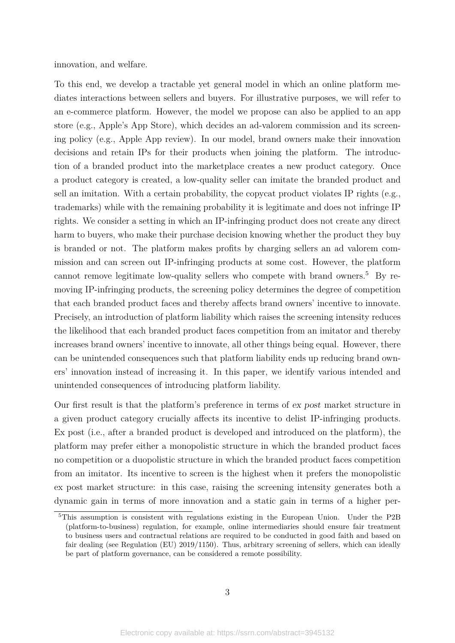innovation, and welfare.

To this end, we develop a tractable yet general model in which an online platform mediates interactions between sellers and buyers. For illustrative purposes, we will refer to an e-commerce platform. However, the model we propose can also be applied to an app store (e.g., Apple's App Store), which decides an ad-valorem commission and its screening policy (e.g., Apple App review). In our model, brand owners make their innovation decisions and retain IPs for their products when joining the platform. The introduction of a branded product into the marketplace creates a new product category. Once a product category is created, a low-quality seller can imitate the branded product and sell an imitation. With a certain probability, the copycat product violates IP rights (e.g., trademarks) while with the remaining probability it is legitimate and does not infringe IP rights. We consider a setting in which an IP-infringing product does not create any direct harm to buyers, who make their purchase decision knowing whether the product they buy is branded or not. The platform makes profits by charging sellers an ad valorem commission and can screen out IP-infringing products at some cost. However, the platform cannot remove legitimate low-quality sellers who compete with brand owners.<sup>5</sup> By removing IP-infringing products, the screening policy determines the degree of competition that each branded product faces and thereby affects brand owners' incentive to innovate. Precisely, an introduction of platform liability which raises the screening intensity reduces the likelihood that each branded product faces competition from an imitator and thereby increases brand owners' incentive to innovate, all other things being equal. However, there can be unintended consequences such that platform liability ends up reducing brand owners' innovation instead of increasing it. In this paper, we identify various intended and unintended consequences of introducing platform liability.

Our first result is that the platform's preference in terms of ex post market structure in a given product category crucially affects its incentive to delist IP-infringing products. Ex post (i.e., after a branded product is developed and introduced on the platform), the platform may prefer either a monopolistic structure in which the branded product faces no competition or a duopolistic structure in which the branded product faces competition from an imitator. Its incentive to screen is the highest when it prefers the monopolistic ex post market structure: in this case, raising the screening intensity generates both a dynamic gain in terms of more innovation and a static gain in terms of a higher per-

<sup>&</sup>lt;sup>5</sup>This assumption is consistent with regulations existing in the European Union. Under the P2B (platform-to-business) regulation, for example, online intermediaries should ensure fair treatment to business users and contractual relations are required to be conducted in good faith and based on fair dealing (see Regulation (EU) 2019/1150). Thus, arbitrary screening of sellers, which can ideally be part of platform governance, can be considered a remote possibility.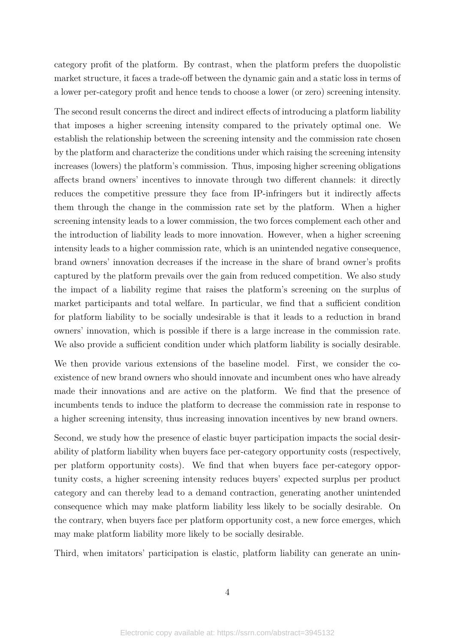category profit of the platform. By contrast, when the platform prefers the duopolistic market structure, it faces a trade-off between the dynamic gain and a static loss in terms of a lower per-category profit and hence tends to choose a lower (or zero) screening intensity.

The second result concerns the direct and indirect effects of introducing a platform liability that imposes a higher screening intensity compared to the privately optimal one. We establish the relationship between the screening intensity and the commission rate chosen by the platform and characterize the conditions under which raising the screening intensity increases (lowers) the platform's commission. Thus, imposing higher screening obligations affects brand owners' incentives to innovate through two different channels: it directly reduces the competitive pressure they face from IP-infringers but it indirectly affects them through the change in the commission rate set by the platform. When a higher screening intensity leads to a lower commission, the two forces complement each other and the introduction of liability leads to more innovation. However, when a higher screening intensity leads to a higher commission rate, which is an unintended negative consequence, brand owners' innovation decreases if the increase in the share of brand owner's profits captured by the platform prevails over the gain from reduced competition. We also study the impact of a liability regime that raises the platform's screening on the surplus of market participants and total welfare. In particular, we find that a sufficient condition for platform liability to be socially undesirable is that it leads to a reduction in brand owners' innovation, which is possible if there is a large increase in the commission rate. We also provide a sufficient condition under which platform liability is socially desirable.

We then provide various extensions of the baseline model. First, we consider the coexistence of new brand owners who should innovate and incumbent ones who have already made their innovations and are active on the platform. We find that the presence of incumbents tends to induce the platform to decrease the commission rate in response to a higher screening intensity, thus increasing innovation incentives by new brand owners.

Second, we study how the presence of elastic buyer participation impacts the social desirability of platform liability when buyers face per-category opportunity costs (respectively, per platform opportunity costs). We find that when buyers face per-category opportunity costs, a higher screening intensity reduces buyers' expected surplus per product category and can thereby lead to a demand contraction, generating another unintended consequence which may make platform liability less likely to be socially desirable. On the contrary, when buyers face per platform opportunity cost, a new force emerges, which may make platform liability more likely to be socially desirable.

Third, when imitators' participation is elastic, platform liability can generate an unin-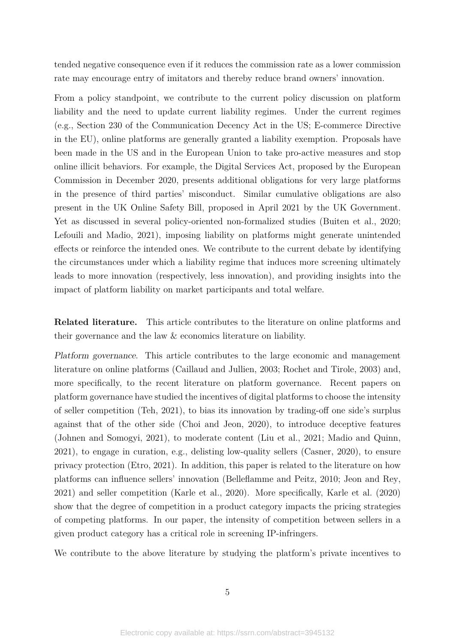tended negative consequence even if it reduces the commission rate as a lower commission rate may encourage entry of imitators and thereby reduce brand owners' innovation.

From a policy standpoint, we contribute to the current policy discussion on platform liability and the need to update current liability regimes. Under the current regimes (e.g., Section 230 of the Communication Decency Act in the US; E-commerce Directive in the EU), online platforms are generally granted a liability exemption. Proposals have been made in the US and in the European Union to take pro-active measures and stop online illicit behaviors. For example, the Digital Services Act, proposed by the European Commission in December 2020, presents additional obligations for very large platforms in the presence of third parties' misconduct. Similar cumulative obligations are also present in the UK Online Safety Bill, proposed in April 2021 by the UK Government. Yet as discussed in several policy-oriented non-formalized studies (Buiten et al., 2020; Lefouili and Madio, 2021), imposing liability on platforms might generate unintended effects or reinforce the intended ones. We contribute to the current debate by identifying the circumstances under which a liability regime that induces more screening ultimately leads to more innovation (respectively, less innovation), and providing insights into the impact of platform liability on market participants and total welfare.

**Related literature.** This article contributes to the literature on online platforms and their governance and the law & economics literature on liability.

Platform governance. This article contributes to the large economic and management literature on online platforms (Caillaud and Jullien, 2003; Rochet and Tirole, 2003) and, more specifically, to the recent literature on platform governance. Recent papers on platform governance have studied the incentives of digital platforms to choose the intensity of seller competition (Teh, 2021), to bias its innovation by trading-off one side's surplus against that of the other side (Choi and Jeon, 2020), to introduce deceptive features (Johnen and Somogyi, 2021), to moderate content (Liu et al., 2021; Madio and Quinn, 2021), to engage in curation, e.g., delisting low-quality sellers (Casner, 2020), to ensure privacy protection (Etro, 2021). In addition, this paper is related to the literature on how platforms can influence sellers' innovation (Belleflamme and Peitz, 2010; Jeon and Rey, 2021) and seller competition (Karle et al., 2020). More specifically, Karle et al. (2020) show that the degree of competition in a product category impacts the pricing strategies of competing platforms. In our paper, the intensity of competition between sellers in a given product category has a critical role in screening IP-infringers.

We contribute to the above literature by studying the platform's private incentives to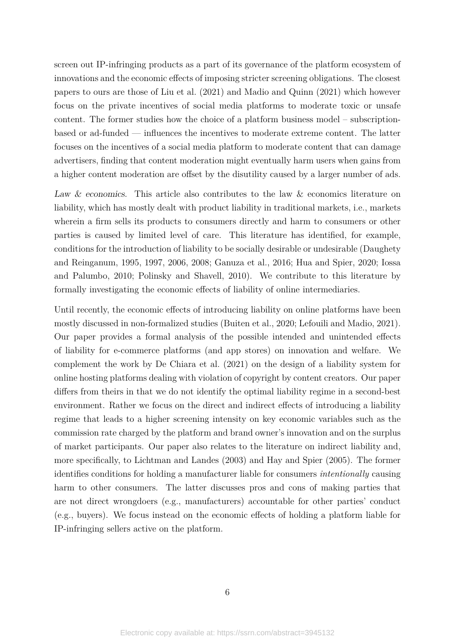screen out IP-infringing products as a part of its governance of the platform ecosystem of innovations and the economic effects of imposing stricter screening obligations. The closest papers to ours are those of Liu et al. (2021) and Madio and Quinn (2021) which however focus on the private incentives of social media platforms to moderate toxic or unsafe content. The former studies how the choice of a platform business model – subscriptionbased or ad-funded — influences the incentives to moderate extreme content. The latter focuses on the incentives of a social media platform to moderate content that can damage advertisers, finding that content moderation might eventually harm users when gains from a higher content moderation are offset by the disutility caused by a larger number of ads.

Law & economics. This article also contributes to the law & economics literature on liability, which has mostly dealt with product liability in traditional markets, i.e., markets wherein a firm sells its products to consumers directly and harm to consumers or other parties is caused by limited level of care. This literature has identified, for example, conditions for the introduction of liability to be socially desirable or undesirable (Daughety and Reinganum, 1995, 1997, 2006, 2008; Ganuza et al., 2016; Hua and Spier, 2020; Iossa and Palumbo, 2010; Polinsky and Shavell, 2010). We contribute to this literature by formally investigating the economic effects of liability of online intermediaries.

Until recently, the economic effects of introducing liability on online platforms have been mostly discussed in non-formalized studies (Buiten et al., 2020; Lefouili and Madio, 2021). Our paper provides a formal analysis of the possible intended and unintended effects of liability for e-commerce platforms (and app stores) on innovation and welfare. We complement the work by De Chiara et al. (2021) on the design of a liability system for online hosting platforms dealing with violation of copyright by content creators. Our paper differs from theirs in that we do not identify the optimal liability regime in a second-best environment. Rather we focus on the direct and indirect effects of introducing a liability regime that leads to a higher screening intensity on key economic variables such as the commission rate charged by the platform and brand owner's innovation and on the surplus of market participants. Our paper also relates to the literature on indirect liability and, more specifically, to Lichtman and Landes (2003) and Hay and Spier (2005). The former identifies conditions for holding a manufacturer liable for consumers *intentionally* causing harm to other consumers. The latter discusses pros and cons of making parties that are not direct wrongdoers (e.g., manufacturers) accountable for other parties' conduct (e.g., buyers). We focus instead on the economic effects of holding a platform liable for IP-infringing sellers active on the platform.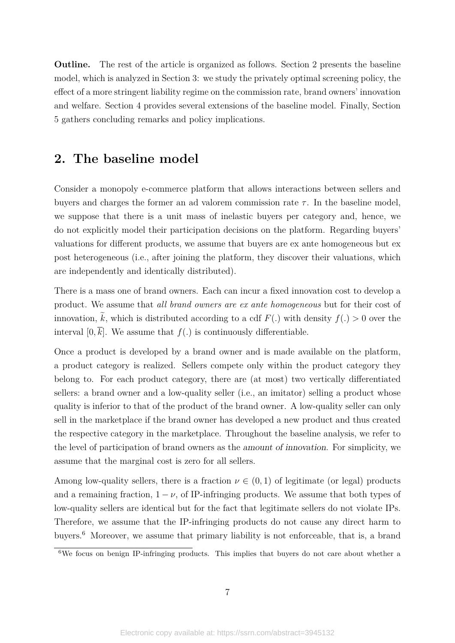**Outline.** The rest of the article is organized as follows. Section 2 presents the baseline model, which is analyzed in Section 3: we study the privately optimal screening policy, the effect of a more stringent liability regime on the commission rate, brand owners' innovation and welfare. Section 4 provides several extensions of the baseline model. Finally, Section 5 gathers concluding remarks and policy implications.

# **2. The baseline model**

Consider a monopoly e-commerce platform that allows interactions between sellers and buyers and charges the former an ad valorem commission rate  $\tau$ . In the baseline model, we suppose that there is a unit mass of inelastic buyers per category and, hence, we do not explicitly model their participation decisions on the platform. Regarding buyers' valuations for different products, we assume that buyers are ex ante homogeneous but ex post heterogeneous (i.e., after joining the platform, they discover their valuations, which are independently and identically distributed).

There is a mass one of brand owners. Each can incur a fixed innovation cost to develop a product. We assume that *all brand owners are ex ante homogeneous* but for their cost of innovation,  $\tilde{k}$ , which is distributed according to a cdf  $F(.)$  with density  $f(.) > 0$  over the interval  $[0, \overline{k}]$ . We assume that  $f(.)$  is continuously differentiable.

Once a product is developed by a brand owner and is made available on the platform, a product category is realized. Sellers compete only within the product category they belong to. For each product category, there are (at most) two vertically differentiated sellers: a brand owner and a low-quality seller (i.e., an imitator) selling a product whose quality is inferior to that of the product of the brand owner. A low-quality seller can only sell in the marketplace if the brand owner has developed a new product and thus created the respective category in the marketplace. Throughout the baseline analysis, we refer to the level of participation of brand owners as the amount of innovation. For simplicity, we assume that the marginal cost is zero for all sellers.

Among low-quality sellers, there is a fraction  $\nu \in (0,1)$  of legitimate (or legal) products and a remaining fraction,  $1 - \nu$ , of IP-infringing products. We assume that both types of low-quality sellers are identical but for the fact that legitimate sellers do not violate IPs. Therefore, we assume that the IP-infringing products do not cause any direct harm to buyers.6 Moreover, we assume that primary liability is not enforceable, that is, a brand

<sup>&</sup>lt;sup>6</sup>We focus on benign IP-infringing products. This implies that buyers do not care about whether a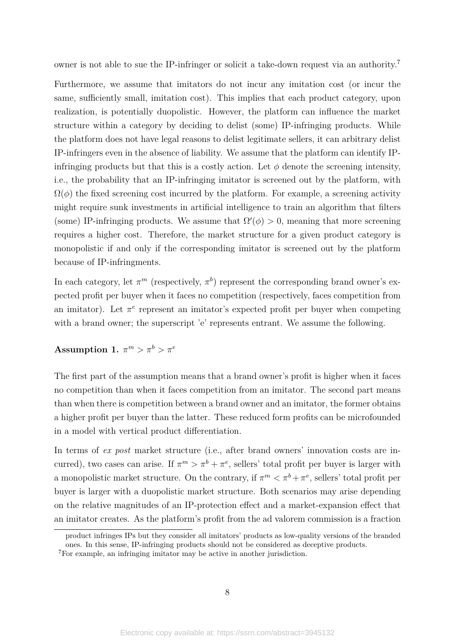owner is not able to sue the IP-infringer or solicit a take-down request via an authority.7

Furthermore, we assume that imitators do not incur any imitation cost (or incur the same, sufficiently small, imitation cost). This implies that each product category, upon realization, is potentially duopolistic. However, the platform can influence the market structure within a category by deciding to delist (some) IP-infringing products. While the platform does not have legal reasons to delist legitimate sellers, it can arbitrary delist IP-infringers even in the absence of liability. We assume that the platform can identify IPinfringing products but that this is a costly action. Let  $\phi$  denote the screening intensity, i.e., the probability that an IP-infringing imitator is screened out by the platform, with  $\Omega(\phi)$  the fixed screening cost incurred by the platform. For example, a screening activity might require sunk investments in artificial intelligence to train an algorithm that filters (some) IP-infringing products. We assume that  $\Omega'(\phi) > 0$ , meaning that more screening requires a higher cost. Therefore, the market structure for a given product category is monopolistic if and only if the corresponding imitator is screened out by the platform because of IP-infringments.

In each category, let  $\pi^m$  (respectively,  $\pi^b$ ) represent the corresponding brand owner's expected profit per buyer when it faces no competition (respectively, faces competition from an imitator). Let  $\pi^e$  represent an imitator's expected profit per buyer when competing with a brand owner; the superscript 'e' represents entrant. We assume the following.

# $\textbf{Assumption 1. } \pi^m > \pi^b > \pi^e$

The first part of the assumption means that a brand owner's profit is higher when it faces no competition than when it faces competition from an imitator. The second part means than when there is competition between a brand owner and an imitator, the former obtains a higher profit per buyer than the latter. These reduced form profits can be microfounded in a model with vertical product differentiation.

In terms of *ex post* market structure (i.e., after brand owners' innovation costs are incurred), two cases can arise. If  $\pi^m > \pi^b + \pi^e$ , sellers' total profit per buyer is larger with a monopolistic market structure. On the contrary, if  $\pi^m < \pi^b + \pi^e$ , sellers' total profit per buyer is larger with a duopolistic market structure. Both scenarios may arise depending on the relative magnitudes of an IP-protection effect and a market-expansion effect that an imitator creates. As the platform's profit from the ad valorem commission is a fraction

product infringes IPs but they consider all imitators' products as low-quality versions of the branded ones. In this sense, IP-infringing products should not be considered as deceptive products.

<sup>7</sup>For example, an infringing imitator may be active in another jurisdiction.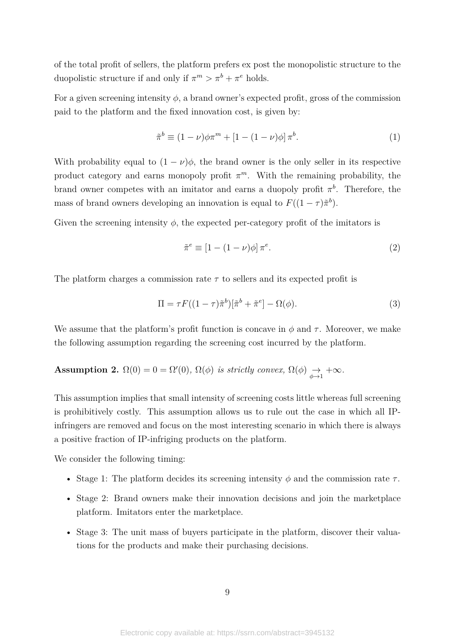of the total profit of sellers, the platform prefers ex post the monopolistic structure to the duopolistic structure if and only if  $\pi^m > \pi^b + \pi^e$  holds.

For a given screening intensity  $\phi$ , a brand owner's expected profit, gross of the commission paid to the platform and the fixed innovation cost, is given by:

$$
\tilde{\pi}^b \equiv (1 - \nu)\phi \pi^m + [1 - (1 - \nu)\phi] \pi^b.
$$
 (1)

With probability equal to  $(1 - \nu)\phi$ , the brand owner is the only seller in its respective product category and earns monopoly profit  $\pi^m$ . With the remaining probability, the brand owner competes with an imitator and earns a duopoly profit  $\pi^b$ . Therefore, the mass of brand owners developing an innovation is equal to  $F((1 - \tau)\tilde{\pi}^b)$ .

Given the screening intensity  $\phi$ , the expected per-category profit of the imitators is

$$
\tilde{\pi}^e \equiv [1 - (1 - \nu)\phi] \pi^e. \tag{2}
$$

The platform charges a commission rate *τ* to sellers and its expected profit is

$$
\Pi = \tau F((1-\tau)\tilde{\pi}^b)[\tilde{\pi}^b + \tilde{\pi}^e] - \Omega(\phi). \tag{3}
$$

We assume that the platform's profit function is concave in  $\phi$  and  $\tau$ . Moreover, we make the following assumption regarding the screening cost incurred by the platform.

**Assumption 2.**  $\Omega(0) = 0 = \Omega'(0)$ ,  $\Omega(\phi)$  *is strictly convex,*  $\Omega(\phi) \rightarrow +\infty$ *.* 

This assumption implies that small intensity of screening costs little whereas full screening is prohibitively costly. This assumption allows us to rule out the case in which all IPinfringers are removed and focus on the most interesting scenario in which there is always a positive fraction of IP-infriging products on the platform.

We consider the following timing:

- Stage 1: The platform decides its screening intensity  $\phi$  and the commission rate  $\tau$ .
- Stage 2: Brand owners make their innovation decisions and join the marketplace platform. Imitators enter the marketplace.
- Stage 3: The unit mass of buyers participate in the platform, discover their valuations for the products and make their purchasing decisions.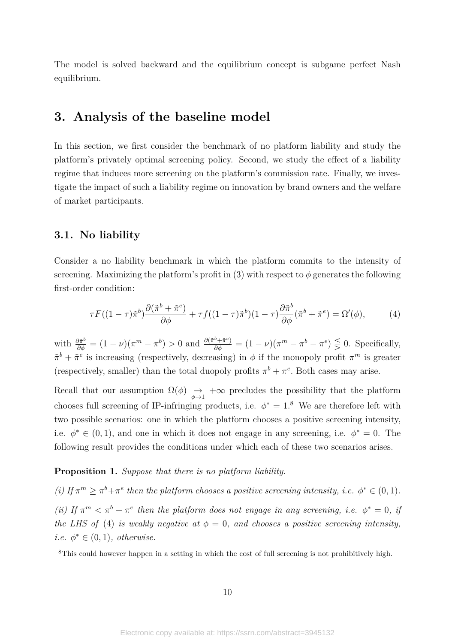The model is solved backward and the equilibrium concept is subgame perfect Nash equilibrium.

# **3. Analysis of the baseline model**

In this section, we first consider the benchmark of no platform liability and study the platform's privately optimal screening policy. Second, we study the effect of a liability regime that induces more screening on the platform's commission rate. Finally, we investigate the impact of such a liability regime on innovation by brand owners and the welfare of market participants.

# **3.1. No liability**

Consider a no liability benchmark in which the platform commits to the intensity of screening. Maximizing the platform's profit in (3) with respect to  $\phi$  generates the following first-order condition:

$$
\tau F((1-\tau)\tilde{\pi}^b)\frac{\partial(\tilde{\pi}^b + \tilde{\pi}^e)}{\partial \phi} + \tau f((1-\tau)\tilde{\pi}^b)(1-\tau)\frac{\partial \tilde{\pi}^b}{\partial \phi}(\tilde{\pi}^b + \tilde{\pi}^e) = \Omega'(\phi),\tag{4}
$$

with  $\frac{\partial \tilde{\pi}^b}{\partial \phi} = (1 - \nu)(\pi^m - \pi^b) > 0$  and  $\frac{\partial (\tilde{\pi}^b + \tilde{\pi}^e)}{\partial \phi} = (1 - \nu)(\pi^m - \pi^b - \pi^e) \leq 0$ . Specifically,  $\tilde{\pi}^b + \tilde{\pi}^e$  is increasing (respectively, decreasing) in  $\phi$  if the monopoly profit  $\pi^m$  is greater (respectively, smaller) than the total duopoly profits  $\pi^b + \pi^e$ . Both cases may arise.

Recall that our assumption  $\Omega(\phi) \rightarrow +\infty$  precludes the possibility that the platform chooses full screening of IP-infringing products, i.e.  $\phi^* = 1.8$  We are therefore left with two possible scenarios: one in which the platform chooses a positive screening intensity, i.e.  $\phi^* \in (0,1)$ , and one in which it does not engage in any screening, i.e.  $\phi^* = 0$ . The following result provides the conditions under which each of these two scenarios arises.

#### **Proposition 1.** *Suppose that there is no platform liability.*

*(i)* If  $\pi^m \geq \pi^b + \pi^e$  then the platform chooses a positive screening intensity, i.e.  $\phi^* \in (0,1)$ . *(ii)* If  $\pi^m < \pi^b + \pi^e$  then the platform does not engage in any screening, i.e.  $\phi^* = 0$ , if *the LHS of* (4) *is weakly negative at*  $\phi = 0$ *, and chooses a positive screening intensity, i.e.*  $\phi^* \in (0,1)$ *, otherwise.* 

<sup>&</sup>lt;sup>8</sup>This could however happen in a setting in which the cost of full screening is not prohibitively high.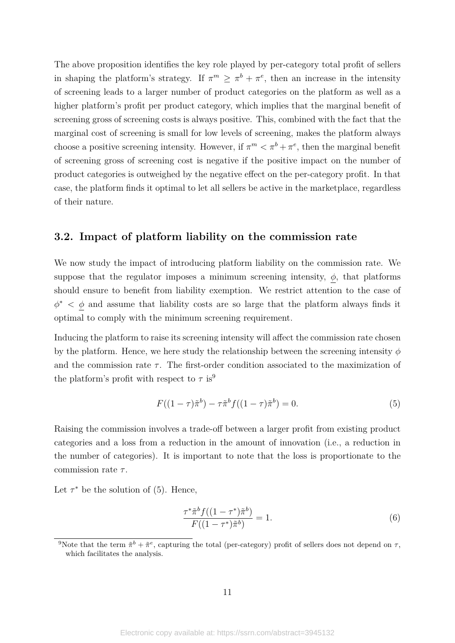The above proposition identifies the key role played by per-category total profit of sellers in shaping the platform's strategy. If  $\pi^m \geq \pi^b + \pi^e$ , then an increase in the intensity of screening leads to a larger number of product categories on the platform as well as a higher platform's profit per product category, which implies that the marginal benefit of screening gross of screening costs is always positive. This, combined with the fact that the marginal cost of screening is small for low levels of screening, makes the platform always choose a positive screening intensity. However, if  $\pi^m < \pi^b + \pi^e$ , then the marginal benefit of screening gross of screening cost is negative if the positive impact on the number of product categories is outweighed by the negative effect on the per-category profit. In that case, the platform finds it optimal to let all sellers be active in the marketplace, regardless of their nature.

### **3.2. Impact of platform liability on the commission rate**

We now study the impact of introducing platform liability on the commission rate. We suppose that the regulator imposes a minimum screening intensity,  $\phi$ , that platforms should ensure to benefit from liability exemption. We restrict attention to the case of  $\phi^*$  <  $\phi$  and assume that liability costs are so large that the platform always finds it optimal to comply with the minimum screening requirement.

Inducing the platform to raise its screening intensity will affect the commission rate chosen by the platform. Hence, we here study the relationship between the screening intensity *φ* and the commission rate  $\tau$ . The first-order condition associated to the maximization of the platform's profit with respect to  $\tau$  is<sup>9</sup>

$$
F((1 - \tau)\tilde{\pi}^{b}) - \tau \tilde{\pi}^{b} f((1 - \tau)\tilde{\pi}^{b}) = 0.
$$
 (5)

Raising the commission involves a trade-off between a larger profit from existing product categories and a loss from a reduction in the amount of innovation (i.e., a reduction in the number of categories). It is important to note that the loss is proportionate to the commission rate *τ* .

Let  $\tau^*$  be the solution of (5). Hence,

$$
\frac{\tau^*\tilde{\pi}^b f((1-\tau^*)\tilde{\pi}^b)}{F((1-\tau^*)\tilde{\pi}^b)} = 1.
$$
\n(6)

<sup>&</sup>lt;sup>9</sup>Note that the term  $\tilde{\pi}^b + \tilde{\pi}^e$ , capturing the total (per-category) profit of sellers does not depend on  $\tau$ , which facilitates the analysis.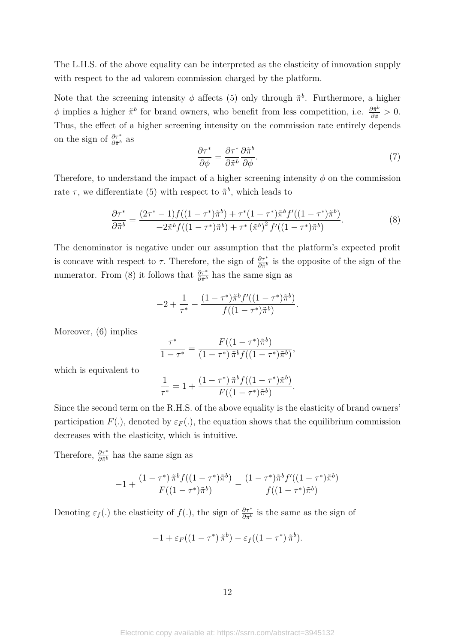The L.H.S. of the above equality can be interpreted as the elasticity of innovation supply with respect to the ad valorem commission charged by the platform.

Note that the screening intensity  $\phi$  affects (5) only through  $\tilde{\pi}^b$ . Furthermore, a higher  $\phi$  implies a higher  $\tilde{\pi}^b$  for brand owners, who benefit from less competition, i.e.  $\frac{\partial \tilde{\pi}^b}{\partial \phi} > 0$ . Thus, the effect of a higher screening intensity on the commission rate entirely depends on the sign of  $\frac{\partial \tau^*}{\partial \tilde{\pi}^b}$  as

$$
\frac{\partial \tau^*}{\partial \phi} = \frac{\partial \tau^*}{\partial \tilde{\pi}^b} \frac{\partial \tilde{\pi}^b}{\partial \phi}.
$$
\n(7)

*.*

Therefore, to understand the impact of a higher screening intensity  $\phi$  on the commission rate  $\tau$ , we differentiate (5) with respect to  $\tilde{\pi}^b$ , which leads to

$$
\frac{\partial \tau^*}{\partial \tilde{\pi}^b} = \frac{(2\tau^* - 1)f((1 - \tau^*)\tilde{\pi}^b) + \tau^*(1 - \tau^*)\tilde{\pi}^b f'((1 - \tau^*)\tilde{\pi}^b)}{-2\tilde{\pi}^b f((1 - \tau^*)\tilde{\pi}^b) + \tau^*(\tilde{\pi}^b)^2 f'((1 - \tau^*)\tilde{\pi}^b)}.
$$
\n(8)

The denominator is negative under our assumption that the platform's expected profit is concave with respect to  $\tau$ . Therefore, the sign of  $\frac{\partial \tau^*}{\partial \tilde{\pi}^b}$  is the opposite of the sign of the numerator. From (8) it follows that  $\frac{\partial \tau^*}{\partial \tilde{\pi}^b}$  has the same sign as

$$
-2 + \frac{1}{\tau^*} - \frac{(1-\tau^*)\tilde{\pi}^b f'((1-\tau^*)\tilde{\pi}^b)}{f((1-\tau^*)\tilde{\pi}^b)}.
$$

Moreover, (6) implies

$$
\frac{\tau^*}{1-\tau^*} = \frac{F((1-\tau^*)\tilde{\pi}^b)}{(1-\tau^*)\tilde{\pi}^b f((1-\tau^*)\tilde{\pi}^b)},
$$

which is equivalent to

$$
\frac{1}{\tau^*} = 1 + \frac{(1 - \tau^*) \tilde{\pi}^b f((1 - \tau^*) \tilde{\pi}^b)}{F((1 - \tau^*) \tilde{\pi}^b)}
$$

Since the second term on the R.H.S. of the above equality is the elasticity of brand owners' participation  $F(.)$ , denoted by  $\varepsilon_F(.)$ , the equation shows that the equilibrium commission decreases with the elasticity, which is intuitive.

Therefore,  $\frac{\partial \tau^*}{\partial \tilde{\pi}^b}$  has the same sign as

$$
-1 + \frac{(1-\tau^*)\,\tilde{\pi}^b f((1-\tau^*)\tilde{\pi}^b)}{F((1-\tau^*)\tilde{\pi}^b)} - \frac{(1-\tau^*)\tilde{\pi}^b f'((1-\tau^*)\tilde{\pi}^b)}{f((1-\tau^*)\tilde{\pi}^b)}
$$

Denoting  $\varepsilon_f(.)$  the elasticity of  $f(.)$ , the sign of  $\frac{\partial \tau^*}{\partial \tilde{\pi}^b}$  is the same as the sign of

$$
-1 + \varepsilon_F((1-\tau^*)\tilde{\pi}^b) - \varepsilon_f((1-\tau^*)\tilde{\pi}^b).
$$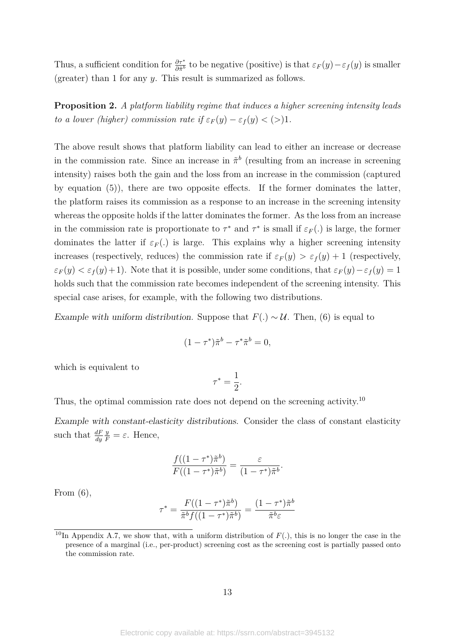Thus, a sufficient condition for  $\frac{\partial \tau^*}{\partial \tilde{\pi}^b}$  to be negative (positive) is that  $\varepsilon_F(y) - \varepsilon_f(y)$  is smaller (greater) than 1 for any *y*. This result is summarized as follows.

**Proposition 2.** *A platform liability regime that induces a higher screening intensity leads to a lower (higher) commission rate if*  $\varepsilon_F(y) - \varepsilon_f(y) < (>)1$ .

The above result shows that platform liability can lead to either an increase or decrease in the commission rate. Since an increase in  $\tilde{\pi}^b$  (resulting from an increase in screening intensity) raises both the gain and the loss from an increase in the commission (captured by equation (5)), there are two opposite effects. If the former dominates the latter, the platform raises its commission as a response to an increase in the screening intensity whereas the opposite holds if the latter dominates the former. As the loss from an increase in the commission rate is proportionate to  $\tau^*$  and  $\tau^*$  is small if  $\varepsilon_F(.)$  is large, the former dominates the latter if  $\varepsilon_F$ .) is large. This explains why a higher screening intensity increases (respectively, reduces) the commission rate if  $\varepsilon_F(y) > \varepsilon_f(y) + 1$  (respectively,  $\varepsilon_F(y) < \varepsilon_f(y) + 1$ ). Note that it is possible, under some conditions, that  $\varepsilon_F(y) - \varepsilon_f(y) = 1$ holds such that the commission rate becomes independent of the screening intensity. This special case arises, for example, with the following two distributions.

Example with uniform distribution. Suppose that  $F(.) \sim U$ . Then, (6) is equal to

$$
(1 - \tau^*)\tilde{\pi}^b - \tau^*\tilde{\pi}^b = 0,
$$

which is equivalent to

$$
\tau^*=\frac{1}{2}.
$$

Thus, the optimal commission rate does not depend on the screening activity.<sup>10</sup>

Example with constant-elasticity distributions. Consider the class of constant elasticity such that *dF dy*  $\frac{y}{F} = \varepsilon$ . Hence,

$$
\frac{f((1-\tau^*)\tilde{\pi}^b)}{F((1-\tau^*)\tilde{\pi}^b)} = \frac{\varepsilon}{(1-\tau^*)\tilde{\pi}^b}.
$$

From  $(6)$ ,

$$
\tau^* = \frac{F((1-\tau^*)\tilde{\pi}^b)}{\tilde{\pi}^b f((1-\tau^*)\tilde{\pi}^b)} = \frac{(1-\tau^*)\tilde{\pi}^b}{\tilde{\pi}^b \varepsilon}
$$

<sup>&</sup>lt;sup>10</sup>In Appendix A.7, we show that, with a uniform distribution of  $F(.)$ , this is no longer the case in the presence of a marginal (i.e., per-product) screening cost as the screening cost is partially passed onto the commission rate.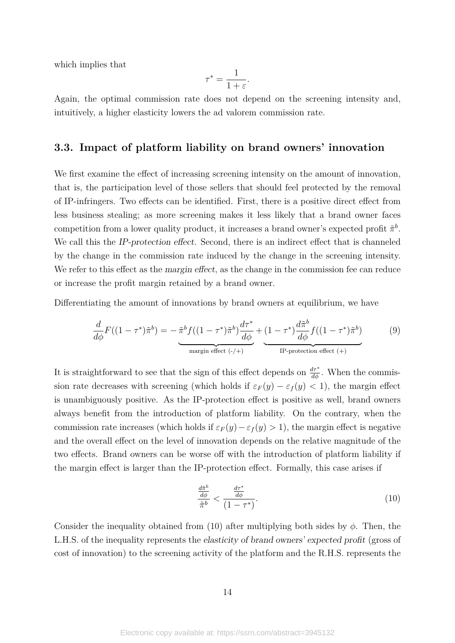which implies that

$$
\tau^* = \frac{1}{1+\varepsilon}.
$$

Again, the optimal commission rate does not depend on the screening intensity and, intuitively, a higher elasticity lowers the ad valorem commission rate.

# **3.3. Impact of platform liability on brand owners' innovation**

We first examine the effect of increasing screening intensity on the amount of innovation, that is, the participation level of those sellers that should feel protected by the removal of IP-infringers. Two effects can be identified. First, there is a positive direct effect from less business stealing; as more screening makes it less likely that a brand owner faces competition from a lower quality product, it increases a brand owner's expected profit  $\tilde{\pi}^b$ . We call this the IP-protection effect. Second, there is an indirect effect that is channeled by the change in the commission rate induced by the change in the screening intensity. We refer to this effect as the margin effect, as the change in the commission fee can reduce or increase the profit margin retained by a brand owner.

Differentiating the amount of innovations by brand owners at equilibrium, we have

$$
\frac{d}{d\phi}F((1-\tau^*)\tilde{\pi}^b) = -\frac{\tilde{\pi}^b f((1-\tau^*)\tilde{\pi}^b)\frac{d\tau^*}{d\phi}}{\text{margin effect } (+)} + \underbrace{(1-\tau^*)\frac{d\tilde{\pi}^b}{d\phi}f((1-\tau^*)\tilde{\pi}^b)}_{\text{IP-protection effect } (+)}\tag{9}
$$

It is straightforward to see that the sign of this effect depends on  $\frac{d\tau^*}{d\phi}$ . When the commission rate decreases with screening (which holds if  $\varepsilon_F(y) - \varepsilon_f(y) < 1$ ), the margin effect is unambiguously positive. As the IP-protection effect is positive as well, brand owners always benefit from the introduction of platform liability. On the contrary, when the commission rate increases (which holds if  $\varepsilon_F(y) - \varepsilon_f(y) > 1$ ), the margin effect is negative and the overall effect on the level of innovation depends on the relative magnitude of the two effects. Brand owners can be worse off with the introduction of platform liability if the margin effect is larger than the IP-protection effect. Formally, this case arises if

$$
\frac{\frac{d\tilde{\pi}^b}{d\phi}}{\tilde{\pi}^b} < \frac{\frac{d\tau^*}{d\phi}}{\left(1 - \tau^*\right)}.\tag{10}
$$

Consider the inequality obtained from (10) after multiplying both sides by  $\phi$ . Then, the L.H.S. of the inequality represents the elasticity of brand owners' expected profit (gross of cost of innovation) to the screening activity of the platform and the R.H.S. represents the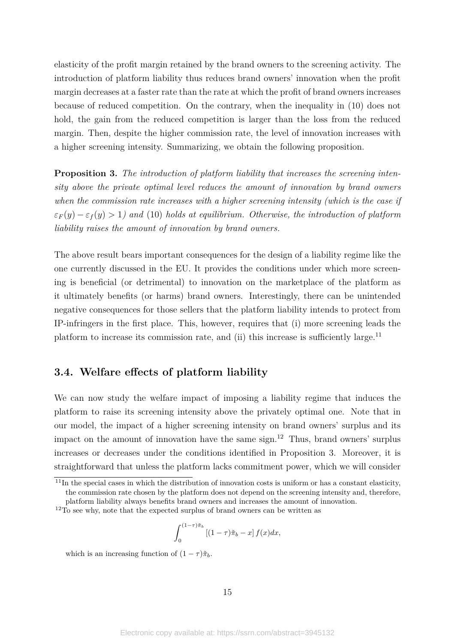elasticity of the profit margin retained by the brand owners to the screening activity. The introduction of platform liability thus reduces brand owners' innovation when the profit margin decreases at a faster rate than the rate at which the profit of brand owners increases because of reduced competition. On the contrary, when the inequality in (10) does not hold, the gain from the reduced competition is larger than the loss from the reduced margin. Then, despite the higher commission rate, the level of innovation increases with a higher screening intensity. Summarizing, we obtain the following proposition.

**Proposition 3.** *The introduction of platform liability that increases the screening intensity above the private optimal level reduces the amount of innovation by brand owners when the commission rate increases with a higher screening intensity (which is the case if*  $\varepsilon_F(y) - \varepsilon_f(y) > 1$  and (10) *holds at equilibrium. Otherwise, the introduction of platform liability raises the amount of innovation by brand owners.*

The above result bears important consequences for the design of a liability regime like the one currently discussed in the EU. It provides the conditions under which more screening is beneficial (or detrimental) to innovation on the marketplace of the platform as it ultimately benefits (or harms) brand owners. Interestingly, there can be unintended negative consequences for those sellers that the platform liability intends to protect from IP-infringers in the first place. This, however, requires that (i) more screening leads the platform to increase its commission rate, and (ii) this increase is sufficiently large.<sup>11</sup>

# **3.4. Welfare effects of platform liability**

We can now study the welfare impact of imposing a liability regime that induces the platform to raise its screening intensity above the privately optimal one. Note that in our model, the impact of a higher screening intensity on brand owners' surplus and its impact on the amount of innovation have the same sign.<sup>12</sup> Thus, brand owners' surplus increases or decreases under the conditions identified in Proposition 3. Moreover, it is straightforward that unless the platform lacks commitment power, which we will consider

$$
\int_0^{(1-\tau)\tilde{\pi}_b} \left[ (1-\tau)\tilde{\pi}_b - x \right] f(x) dx,
$$

which is an increasing function of  $(1 - \tau)\tilde{\pi}_b$ .

<sup>&</sup>lt;sup>11</sup>In the special cases in which the distribution of innovation costs is uniform or has a constant elasticity, the commission rate chosen by the platform does not depend on the screening intensity and, therefore, platform liability always benefits brand owners and increases the amount of innovation.

<sup>&</sup>lt;sup>12</sup>To see why, note that the expected surplus of brand owners can be written as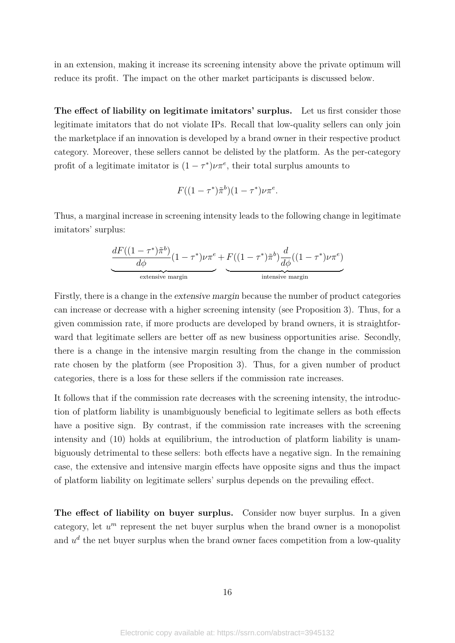in an extension, making it increase its screening intensity above the private optimum will reduce its profit. The impact on the other market participants is discussed below.

**The effect of liability on legitimate imitators' surplus.** Let us first consider those legitimate imitators that do not violate IPs. Recall that low-quality sellers can only join the marketplace if an innovation is developed by a brand owner in their respective product category. Moreover, these sellers cannot be delisted by the platform. As the per-category profit of a legitimate imitator is  $(1 - \tau^*) \nu \pi^e$ , their total surplus amounts to

$$
F((1-\tau^*)\tilde{\pi}^b)(1-\tau^*)\nu\pi^e.
$$

Thus, a marginal increase in screening intensity leads to the following change in legitimate imitators' surplus:

$$
\underbrace{\frac{dF((1-\tau^*)\tilde{\pi}^b)}{d\phi}(1-\tau^*)\nu\pi^e}_{\text{extensive margin}}+\underbrace{F((1-\tau^*)\tilde{\pi}^b)\frac{d}{d\phi}((1-\tau^*)\nu\pi^e)}_{\text{intensive margin}}
$$

Firstly, there is a change in the extensive margin because the number of product categories can increase or decrease with a higher screening intensity (see Proposition 3). Thus, for a given commission rate, if more products are developed by brand owners, it is straightforward that legitimate sellers are better off as new business opportunities arise. Secondly, there is a change in the intensive margin resulting from the change in the commission rate chosen by the platform (see Proposition 3). Thus, for a given number of product categories, there is a loss for these sellers if the commission rate increases.

It follows that if the commission rate decreases with the screening intensity, the introduction of platform liability is unambiguously beneficial to legitimate sellers as both effects have a positive sign. By contrast, if the commission rate increases with the screening intensity and (10) holds at equilibrium, the introduction of platform liability is unambiguously detrimental to these sellers: both effects have a negative sign. In the remaining case, the extensive and intensive margin effects have opposite signs and thus the impact of platform liability on legitimate sellers' surplus depends on the prevailing effect.

The effect of liability on buyer surplus. Consider now buyer surplus. In a given category, let  $u^m$  represent the net buyer surplus when the brand owner is a monopolist and  $u<sup>d</sup>$  the net buyer surplus when the brand owner faces competition from a low-quality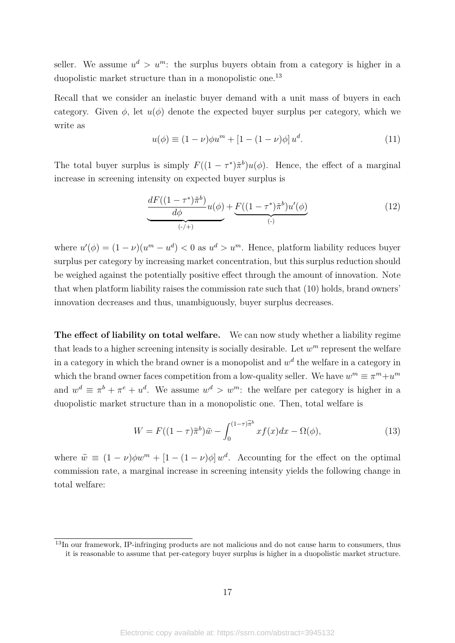seller. We assume  $u^d > u^m$ : the surplus buyers obtain from a category is higher in a duopolistic market structure than in a monopolistic one.<sup>13</sup>

Recall that we consider an inelastic buyer demand with a unit mass of buyers in each category. Given  $\phi$ , let  $u(\phi)$  denote the expected buyer surplus per category, which we write as

$$
u(\phi) \equiv (1 - \nu)\phi u^{m} + [1 - (1 - \nu)\phi] u^{d}.
$$
 (11)

The total buyer surplus is simply  $F((1 - \tau^*)\tilde{\pi}^b)u(\phi)$ . Hence, the effect of a marginal increase in screening intensity on expected buyer surplus is

$$
\underbrace{\frac{dF((1-\tau^*)\tilde{\pi}^b)}{d\phi}u(\phi)}_{(\cdot)+)} + \underbrace{F((1-\tau^*)\tilde{\pi}^b)u'(\phi)}_{(\cdot)}\tag{12}
$$

where  $u'(\phi) = (1 - \nu)(u^m - u^d) < 0$  as  $u^d > u^m$ . Hence, platform liability reduces buyer surplus per category by increasing market concentration, but this surplus reduction should be weighed against the potentially positive effect through the amount of innovation. Note that when platform liability raises the commission rate such that (10) holds, brand owners' innovation decreases and thus, unambiguously, buyer surplus decreases.

**The effect of liability on total welfare.** We can now study whether a liability regime that leads to a higher screening intensity is socially desirable. Let  $w^m$  represent the welfare in a category in which the brand owner is a monopolist and  $w<sup>d</sup>$  the welfare in a category in which the brand owner faces competition from a low-quality seller. We have  $w^m \equiv \pi^m + u^m$ and  $w^d \equiv \pi^b + \pi^e + u^d$ . We assume  $w^d > w^m$ : the welfare per category is higher in a duopolistic market structure than in a monopolistic one. Then, total welfare is

$$
W = F((1 - \tau)\tilde{\pi}^b)\tilde{w} - \int_0^{(1 - \tau)\tilde{\pi}^b} x f(x) dx - \Omega(\phi),\tag{13}
$$

where  $\tilde{w} \equiv (1 - \nu)\phi w^m + [1 - (1 - \nu)\phi] w^d$ . Accounting for the effect on the optimal commission rate, a marginal increase in screening intensity yields the following change in total welfare:

<sup>13</sup>In our framework, IP-infringing products are not malicious and do not cause harm to consumers, thus it is reasonable to assume that per-category buyer surplus is higher in a duopolistic market structure.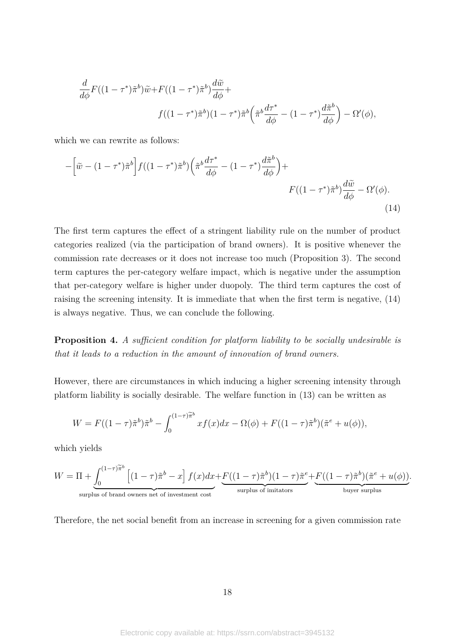$$
\frac{d}{d\phi}F((1-\tau^*)\tilde{\pi}^b)\tilde{w}+F((1-\tau^*)\tilde{\pi}^b)\frac{d\tilde{w}}{d\phi}+\qquad\qquad f((1-\tau^*)\tilde{\pi}^b)(1-\tau^*)\tilde{\pi}^b\left(\tilde{\pi}^b\frac{d\tau^*}{d\phi}-(1-\tau^*)\frac{d\tilde{\pi}^b}{d\phi}\right)-\Omega'(\phi),
$$

which we can rewrite as follows:

$$
-\left[\tilde{w} - (1-\tau^*)\tilde{\pi}^b\right]f((1-\tau^*)\tilde{\pi}^b)\left(\tilde{\pi}^b \frac{d\tau^*}{d\phi} - (1-\tau^*)\frac{d\tilde{\pi}^b}{d\phi}\right) +
$$
  

$$
F((1-\tau^*)\tilde{\pi}^b)\frac{d\tilde{w}}{d\phi} - \Omega'(\phi).
$$
\n(14)

The first term captures the effect of a stringent liability rule on the number of product categories realized (via the participation of brand owners). It is positive whenever the commission rate decreases or it does not increase too much (Proposition 3). The second term captures the per-category welfare impact, which is negative under the assumption that per-category welfare is higher under duopoly. The third term captures the cost of raising the screening intensity. It is immediate that when the first term is negative, (14) is always negative. Thus, we can conclude the following.

**Proposition 4.** *A sufficient condition for platform liability to be socially undesirable is that it leads to a reduction in the amount of innovation of brand owners.*

However, there are circumstances in which inducing a higher screening intensity through platform liability is socially desirable. The welfare function in (13) can be written as

$$
W = F((1-\tau)\tilde{\pi}^b)\tilde{\pi}^b - \int_0^{(1-\tau)\tilde{\pi}^b} xf(x)dx - \Omega(\phi) + F((1-\tau)\tilde{\pi}^b)(\tilde{\pi}^e + u(\phi)),
$$

which yields

$$
W = \Pi + \underbrace{\int_0^{(1-\tau)\widetilde{\pi}^b} \left[ (1-\tau)\widetilde{\pi}^b - x \right] f(x) dx}_{\text{surplus of brand owners net of investment cost}} + \underbrace{F((1-\tau)\widetilde{\pi}^b)(1-\tau)\widetilde{\pi}^e}_{\text{surplus of imitators}} + \underbrace{F((1-\tau)\widetilde{\pi}^b)(\widetilde{\pi}^e + u(\phi))}_{\text{buyer surplus}}.
$$

Therefore, the net social benefit from an increase in screening for a given commission rate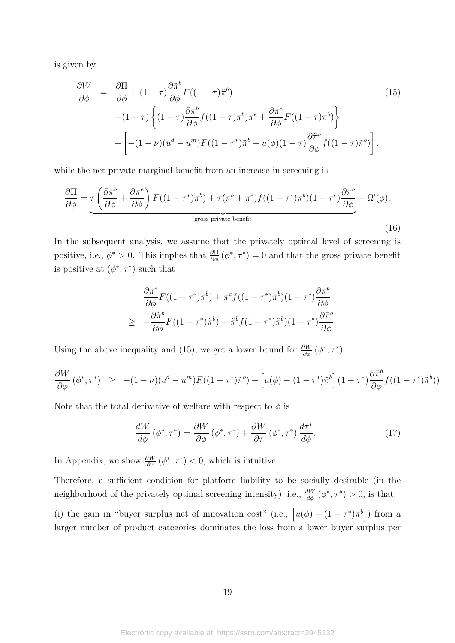is given by

$$
\frac{\partial W}{\partial \phi} = \frac{\partial \Pi}{\partial \phi} + (1 - \tau) \frac{\partial \tilde{\pi}^b}{\partial \phi} F((1 - \tau) \tilde{\pi}^b) +
$$
\n
$$
+ (1 - \tau) \left\{ (1 - \tau) \frac{\partial \tilde{\pi}^b}{\partial \phi} f((1 - \tau) \tilde{\pi}^b) \tilde{\pi}^e + \frac{\partial \tilde{\pi}^e}{\partial \phi} F((1 - \tau) \tilde{\pi}^b) \right\} + \left[ -(1 - \nu)(u^d - u^m) F((1 - \tau^*) \tilde{\pi}^b + u(\phi)(1 - \tau) \frac{\partial \tilde{\pi}^b}{\partial \phi} f((1 - \tau) \tilde{\pi}^b) \right],
$$
\n(15)

while the net private marginal benefit from an increase in screening is

$$
\frac{\partial \Pi}{\partial \phi} = \underbrace{\tau \left( \frac{\partial \tilde{\pi}^b}{\partial \phi} + \frac{\partial \tilde{\pi}^e}{\partial \phi} \right) F((1 - \tau^*) \tilde{\pi}^b) + \tau (\tilde{\pi}^b + \tilde{\pi}^e) f((1 - \tau^*) \tilde{\pi}^b)(1 - \tau^*) \frac{\partial \tilde{\pi}^b}{\partial \phi}}_{\text{gross private benefit}}
$$
\n(16)

In the subsequent analysis, we assume that the privately optimal level of screening is positive, i.e.,  $\phi^* > 0$ . This implies that  $\frac{\partial \Pi}{\partial \phi}(\phi^*, \tau^*) = 0$  and that the gross private benefit is positive at  $(\phi^*, \tau^*)$  such that

$$
\frac{\partial \tilde{\pi}^e}{\partial \phi} F((1 - \tau^*)\tilde{\pi}^b) + \tilde{\pi}^e f((1 - \tau^*)\tilde{\pi}^b)(1 - \tau^*) \frac{\partial \tilde{\pi}^b}{\partial \phi}
$$
  
\n
$$
\geq -\frac{\partial \tilde{\pi}^b}{\partial \phi} F((1 - \tau^*)\tilde{\pi}^b) - \tilde{\pi}^b f(1 - \tau^*)\tilde{\pi}^b)(1 - \tau^*) \frac{\partial \tilde{\pi}^b}{\partial \phi}
$$

Using the above inequality and (15), we get a lower bound for  $\frac{\partial W}{\partial \phi}(\phi^*, \tau^*)$ :

$$
\frac{\partial W}{\partial \phi} \left( \phi^*, \tau^* \right) \geq -(1 - \nu)(u^d - u^m)F((1 - \tau^*)\tilde{\pi}^b) + \left[ u(\phi) - (1 - \tau^*)\tilde{\pi}^b \right](1 - \tau^*) \frac{\partial \tilde{\pi}^b}{\partial \phi} f((1 - \tau^*)\tilde{\pi}^b)
$$

Note that the total derivative of welfare with respect to  $\phi$  is

$$
\frac{dW}{d\phi} \left( \phi^*, \tau^* \right) = \frac{\partial W}{\partial \phi} \left( \phi^*, \tau^* \right) + \frac{\partial W}{\partial \tau} \left( \phi^*, \tau^* \right) \frac{d\tau^*}{d\phi}.\tag{17}
$$

))

In Appendix, we show  $\frac{\partial W}{\partial \tau}(\phi^*, \tau^*) < 0$ , which is intuitive.

Therefore, a sufficient condition for platform liability to be socially desirable (in the neighborhood of the privately optimal screening intensity), i.e.,  $\frac{dW}{d\phi}(\phi^*, \tau^*) > 0$ , is that:

(i) the gain in "buyer surplus net of innovation cost" (i.e.,  $[u(\phi) - (1 - \tau^*)\tilde{\pi}^b]$ ) from a larger number of product categories dominates the loss from a lower buyer surplus per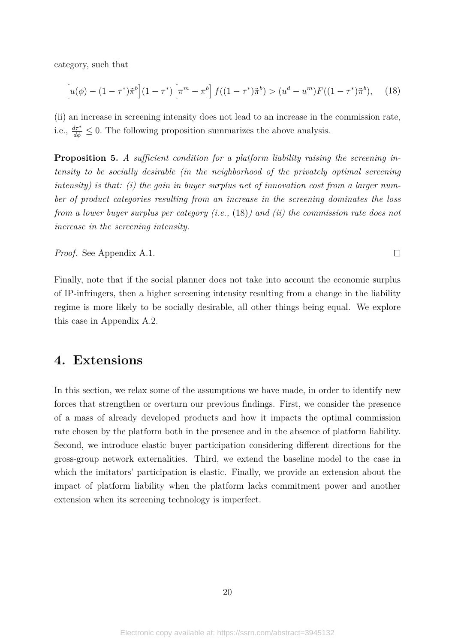category, such that

$$
\left[u(\phi) - (1 - \tau^*)\tilde{\pi}^b\right](1 - \tau^*)\left[\pi^m - \pi^b\right]f((1 - \tau^*)\tilde{\pi}^b) > (u^d - u^m)F((1 - \tau^*)\tilde{\pi}^b),\tag{18}
$$

(ii) an increase in screening intensity does not lead to an increase in the commission rate, i.e.,  $\frac{d\tau^*}{d\phi} \leq 0$ . The following proposition summarizes the above analysis.

**Proposition 5.** *A sufficient condition for a platform liability raising the screening intensity to be socially desirable (in the neighborhood of the privately optimal screening intensity) is that: (i) the gain in buyer surplus net of innovation cost from a larger number of product categories resulting from an increase in the screening dominates the loss from a lower buyer surplus per category (i.e.,* (18)*) and (ii) the commission rate does not increase in the screening intensity.*

*Proof.* See Appendix A.1.

Finally, note that if the social planner does not take into account the economic surplus of IP-infringers, then a higher screening intensity resulting from a change in the liability regime is more likely to be socially desirable, all other things being equal. We explore this case in Appendix A.2.

 $\Box$ 

# **4. Extensions**

In this section, we relax some of the assumptions we have made, in order to identify new forces that strengthen or overturn our previous findings. First, we consider the presence of a mass of already developed products and how it impacts the optimal commission rate chosen by the platform both in the presence and in the absence of platform liability. Second, we introduce elastic buyer participation considering different directions for the gross-group network externalities. Third, we extend the baseline model to the case in which the imitators' participation is elastic. Finally, we provide an extension about the impact of platform liability when the platform lacks commitment power and another extension when its screening technology is imperfect.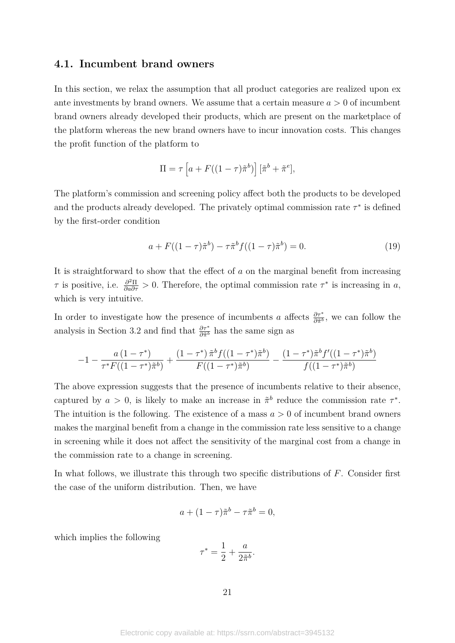### **4.1. Incumbent brand owners**

In this section, we relax the assumption that all product categories are realized upon ex ante investments by brand owners. We assume that a certain measure  $a > 0$  of incumbent brand owners already developed their products, which are present on the marketplace of the platform whereas the new brand owners have to incur innovation costs. This changes the profit function of the platform to

$$
\Pi = \tau \left[ a + F((1-\tau)\tilde{\pi}^b) \right] [\tilde{\pi}^b + \tilde{\pi}^e],
$$

The platform's commission and screening policy affect both the products to be developed and the products already developed. The privately optimal commission rate  $\tau^*$  is defined by the first-order condition

$$
a + F((1 - \tau)\tilde{\pi}^b) - \tau \tilde{\pi}^b f((1 - \tau)\tilde{\pi}^b) = 0.
$$
 (19)

It is straightforward to show that the effect of *a* on the marginal benefit from increasing *τ* is positive, i.e.  $\frac{\partial^2 \Pi}{\partial a \partial \tau} > 0$ . Therefore, the optimal commission rate  $\tau^*$  is increasing in *a*, which is very intuitive.

In order to investigate how the presence of incumbents *a* affects  $\frac{\partial \tau^*}{\partial \tilde{\pi}^b}$ , we can follow the analysis in Section 3.2 and find that  $\frac{\partial \tau^*}{\partial \tilde{\pi}^b}$  has the same sign as

$$
-1-\frac{a\left(1-\tau^{*}\right)}{\tau^{*}F((1-\tau^{*})\tilde{\pi}^{b})}+\frac{\left(1-\tau^{*}\right)\tilde{\pi}^{b}f((1-\tau^{*})\tilde{\pi}^{b})}{F((1-\tau^{*})\tilde{\pi}^{b})}-\frac{\left(1-\tau^{*}\right)\tilde{\pi}^{b}f'((1-\tau^{*})\tilde{\pi}^{b})}{f((1-\tau^{*})\tilde{\pi}^{b})}
$$

The above expression suggests that the presence of incumbents relative to their absence, captured by  $a > 0$ , is likely to make an increase in  $\tilde{\pi}^b$  reduce the commission rate  $\tau^*$ . The intuition is the following. The existence of a mass  $a > 0$  of incumbent brand owners makes the marginal benefit from a change in the commission rate less sensitive to a change in screening while it does not affect the sensitivity of the marginal cost from a change in the commission rate to a change in screening.

In what follows, we illustrate this through two specific distributions of *F*. Consider first the case of the uniform distribution. Then, we have

$$
a + (1 - \tau)\tilde{\pi}^b - \tau\tilde{\pi}^b = 0,
$$

which implies the following

$$
\tau^* = \frac{1}{2} + \frac{a}{2\tilde{\pi}^b}.
$$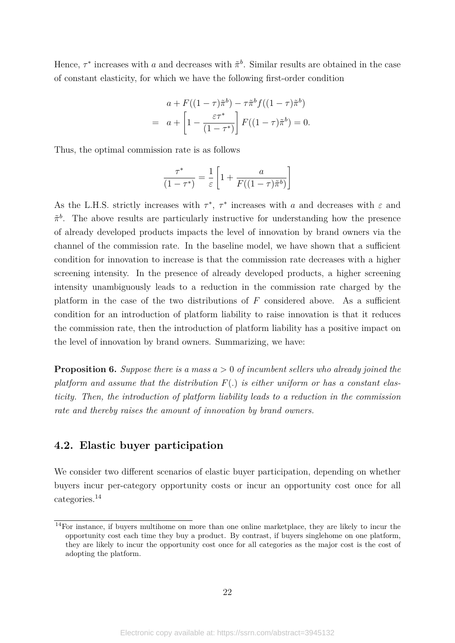Hence,  $\tau^*$  increases with *a* and decreases with  $\tilde{\pi}^b$ . Similar results are obtained in the case of constant elasticity, for which we have the following first-order condition

$$
a + F((1 - \tau)\tilde{\pi}^b) - \tau\tilde{\pi}^b f((1 - \tau)\tilde{\pi}^b)
$$
  
= 
$$
a + \left[1 - \frac{\varepsilon\tau^*}{(1 - \tau^*)}\right] F((1 - \tau)\tilde{\pi}^b) = 0.
$$

Thus, the optimal commission rate is as follows

$$
\frac{\tau^*}{(1-\tau^*)} = \frac{1}{\varepsilon} \left[ 1 + \frac{a}{F((1-\tau)\tilde{\pi}^b)} \right]
$$

As the L.H.S. strictly increases with  $\tau^*$ ,  $\tau^*$  increases with *a* and decreases with  $\varepsilon$  and  $\tilde{\pi}^b$ . The above results are particularly instructive for understanding how the presence of already developed products impacts the level of innovation by brand owners via the channel of the commission rate. In the baseline model, we have shown that a sufficient condition for innovation to increase is that the commission rate decreases with a higher screening intensity. In the presence of already developed products, a higher screening intensity unambiguously leads to a reduction in the commission rate charged by the platform in the case of the two distributions of *F* considered above. As a sufficient condition for an introduction of platform liability to raise innovation is that it reduces the commission rate, then the introduction of platform liability has a positive impact on the level of innovation by brand owners. Summarizing, we have:

**Proposition 6.** *Suppose there is a mass a >* 0 *of incumbent sellers who already joined the platform and assume that the distribution F*(*.*) *is either uniform or has a constant elasticity. Then, the introduction of platform liability leads to a reduction in the commission rate and thereby raises the amount of innovation by brand owners.*

### **4.2. Elastic buyer participation**

We consider two different scenarios of elastic buyer participation, depending on whether buyers incur per-category opportunity costs or incur an opportunity cost once for all categories.14

<sup>&</sup>lt;sup>14</sup>For instance, if buyers multihome on more than one online marketplace, they are likely to incur the opportunity cost each time they buy a product. By contrast, if buyers singlehome on one platform, they are likely to incur the opportunity cost once for all categories as the major cost is the cost of adopting the platform.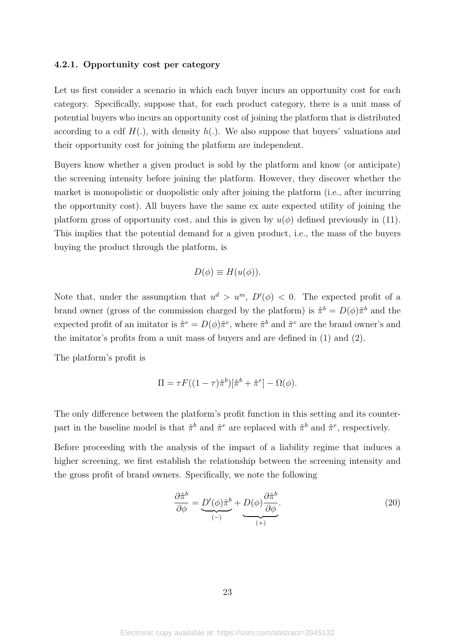#### **4.2.1. Opportunity cost per category**

Let us first consider a scenario in which each buyer incurs an opportunity cost for each category. Specifically, suppose that, for each product category, there is a unit mass of potential buyers who incurs an opportunity cost of joining the platform that is distributed according to a cdf  $H(.)$ , with density  $h(.)$ . We also suppose that buyers' valuations and their opportunity cost for joining the platform are independent.

Buyers know whether a given product is sold by the platform and know (or anticipate) the screening intensity before joining the platform. However, they discover whether the market is monopolistic or duopolistic only after joining the platform (i.e., after incurring the opportunity cost). All buyers have the same ex ante expected utility of joining the platform gross of opportunity cost, and this is given by  $u(\phi)$  defined previously in (11). This implies that the potential demand for a given product, i.e., the mass of the buyers buying the product through the platform, is

$$
D(\phi) \equiv H(u(\phi)).
$$

Note that, under the assumption that  $u^d > u^m$ ,  $D'(\phi) < 0$ . The expected profit of a brand owner (gross of the commission charged by the platform) is  $\hat{\pi}^b = D(\phi)\tilde{\pi}^b$  and the expected profit of an imitator is  $\hat{\pi}^e = D(\phi)\tilde{\pi}^e$ , where  $\tilde{\pi}^b$  and  $\tilde{\pi}^e$  are the brand owner's and the imitator's profits from a unit mass of buyers and are defined in (1) and (2).

The platform's profit is

$$
\Pi = \tau F((1-\tau)\hat{\pi}^b)[\hat{\pi}^b + \hat{\pi}^e] - \Omega(\phi).
$$

The only difference between the platform's profit function in this setting and its counterpart in the baseline model is that  $\tilde{\pi}^b$  and  $\tilde{\pi}^e$  are replaced with  $\hat{\pi}^b$  and  $\hat{\pi}^e$ , respectively.

Before proceeding with the analysis of the impact of a liability regime that induces a higher screening, we first establish the relationship between the screening intensity and the gross profit of brand owners. Specifically, we note the following

$$
\frac{\partial \hat{\pi}^b}{\partial \phi} = \underbrace{D'(\phi)\tilde{\pi}^b}_{(-)} + \underbrace{D(\phi)\frac{\partial \tilde{\pi}^b}{\partial \phi}}_{(+)}.
$$
\n(20)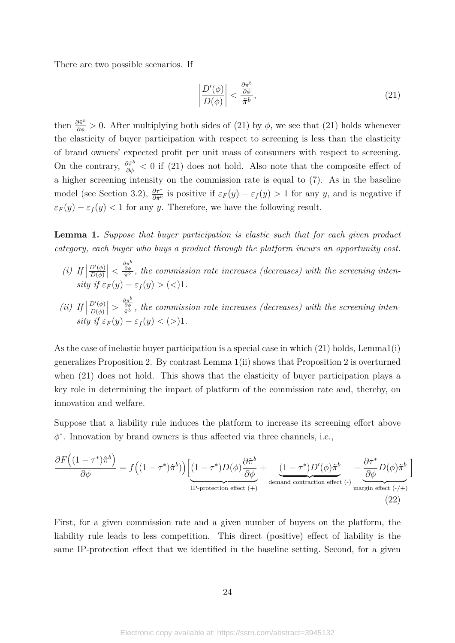There are two possible scenarios. If

$$
\left|\frac{D'(\phi)}{D(\phi)}\right| < \frac{\frac{\partial \tilde{\pi}^b}{\partial \phi}}{\tilde{\pi}^b},\tag{21}
$$

then  $\frac{\partial \tilde{\pi}^b}{\partial \phi} > 0$ . After multiplying both sides of (21) by  $\phi$ , we see that (21) holds whenever the elasticity of buyer participation with respect to screening is less than the elasticity of brand owners' expected profit per unit mass of consumers with respect to screening. On the contrary,  $\frac{\partial \tilde{\pi}^b}{\partial \phi}$  < 0 if (21) does not hold. Also note that the composite effect of a higher screening intensity on the commission rate is equal to (7). As in the baseline model (see Section 3.2),  $\frac{\partial \tau^*}{\partial \hat{\pi}^b}$  is positive if  $\varepsilon_F(y) - \varepsilon_f(y) > 1$  for any *y*, and is negative if  $\varepsilon_F(y) - \varepsilon_f(y) < 1$  for any *y*. Therefore, we have the following result.

**Lemma 1.** *Suppose that buyer participation is elastic such that for each given product category, each buyer who buys a product through the platform incurs an opportunity cost.*

- *(i) If*  $D'(\phi)$ *D*(*φ*)  $\left| \langle \frac{\partial \tilde{\pi}^b}{\partial \phi} \right|$  $\frac{\partial \phi}{\partial \tilde{r}^b}$ , the commission rate increases (decreases) with the screening inten*sity*  $if \varepsilon_F(y) - \varepsilon_f(y) > (<1$ .
- *(ii) If*  $D'(\phi)$ *D*(*φ*)  $\left| > \frac{\frac{\partial \tilde{\pi}^b}{\partial \phi}}{\tilde{\pi}^b} \right|$  $\frac{\partial \phi}{\partial t}$ , the commission rate increases (decreases) with the screening inten*sity if*  $\varepsilon_F(y) - \varepsilon_f(y) < (>)1$ .

As the case of inelastic buyer participation is a special case in which (21) holds, Lemma1(i) generalizes Proposition 2. By contrast Lemma 1(ii) shows that Proposition 2 is overturned when (21) does not hold. This shows that the elasticity of buyer participation plays a key role in determining the impact of platform of the commission rate and, thereby, on innovation and welfare.

Suppose that a liability rule induces the platform to increase its screening effort above *φ* ∗ . Innovation by brand owners is thus affected via three channels, i.e.,

$$
\frac{\partial F((1-\tau^*)\hat{\pi}^b)}{\partial \phi} = f((1-\tau^*)\hat{\pi}^b) \Big) \Big[ \underbrace{(1-\tau^*)D(\phi)\frac{\partial \tilde{\pi}^b}{\partial \phi}}_{\text{IP-protection effect (+)}} + \underbrace{(1-\tau^*)D'(\phi)\tilde{\pi}^b}_{\text{demand contraction effect (-)}} - \underbrace{\frac{\partial \tau^*}{\partial \phi}D(\phi)\tilde{\pi}^b}_{\text{margin effect (-/+)}} \Big]
$$
\n(22)

First, for a given commission rate and a given number of buyers on the platform, the liability rule leads to less competition. This direct (positive) effect of liability is the same IP-protection effect that we identified in the baseline setting. Second, for a given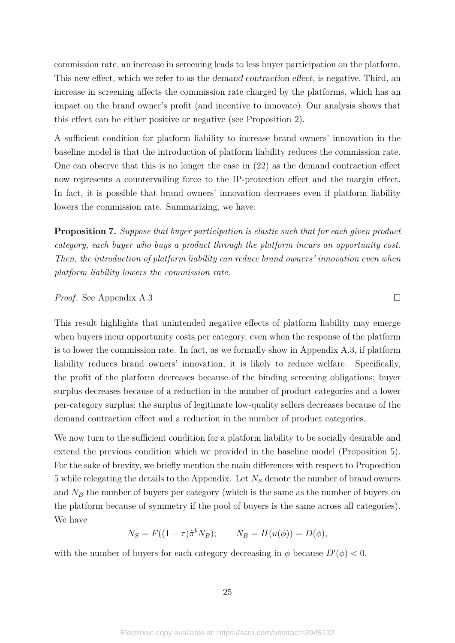commission rate, an increase in screening leads to less buyer participation on the platform. This new effect, which we refer to as the demand contraction effect, is negative. Third, an increase in screening affects the commission rate charged by the platforms, which has an impact on the brand owner's profit (and incentive to innovate). Our analysis shows that this effect can be either positive or negative (see Proposition 2).

A sufficient condition for platform liability to increase brand owners' innovation in the baseline model is that the introduction of platform liability reduces the commission rate. One can observe that this is no longer the case in (22) as the demand contraction effect now represents a countervailing force to the IP-protection effect and the margin effect. In fact, it is possible that brand owners' innovation decreases even if platform liability lowers the commission rate. Summarizing, we have:

**Proposition 7.** *Suppose that buyer participation is elastic such that for each given product category, each buyer who buys a product through the platform incurs an opportunity cost. Then, the introduction of platform liability can reduce brand owners' innovation even when platform liability lowers the commission rate.*

 $\Box$ 

*Proof.* See Appendix A.3

This result highlights that unintended negative effects of platform liability may emerge when buyers incur opportunity costs per category, even when the response of the platform is to lower the commission rate. In fact, as we formally show in Appendix A.3, if platform liability reduces brand owners' innovation, it is likely to reduce welfare. Specifically, the profit of the platform decreases because of the binding screening obligations; buyer surplus decreases because of a reduction in the number of product categories and a lower per-category surplus; the surplus of legitimate low-quality sellers decreases because of the demand contraction effect and a reduction in the number of product categories.

We now turn to the sufficient condition for a platform liability to be socially desirable and extend the previous condition which we provided in the baseline model (Proposition 5). For the sake of brevity, we briefly mention the main differences with respect to Proposition 5 while relegating the details to the Appendix. Let *N<sup>S</sup>* denote the number of brand owners and  $N_B$  the number of buyers per category (which is the same as the number of buyers on the platform because of symmetry if the pool of buyers is the same across all categories). We have

$$
N_S = F((1 - \tau)\tilde{\pi}^b N_B); \qquad N_B = H(u(\phi)) = D(\phi),
$$

with the number of buyers for each category decreasing in  $\phi$  because  $D'(\phi) < 0$ .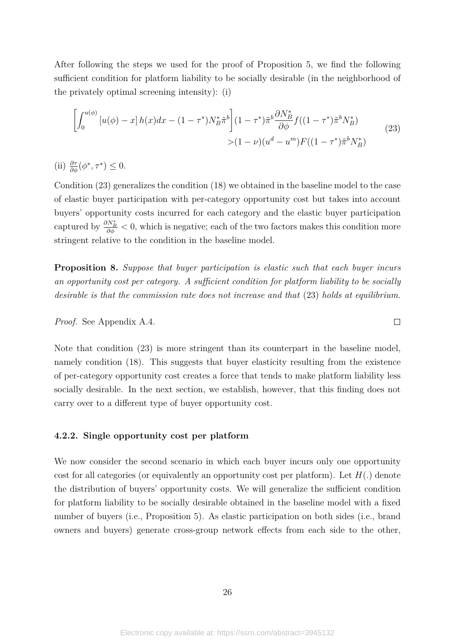After following the steps we used for the proof of Proposition 5, we find the following sufficient condition for platform liability to be socially desirable (in the neighborhood of the privately optimal screening intensity): (i)

$$
\left[\int_0^{u(\phi)} \left[u(\phi) - x\right] h(x) dx - (1 - \tau^*) N_B^* \tilde{\pi}^b\right] (1 - \tau^*) \tilde{\pi}^b \frac{\partial N_B^*}{\partial \phi} f((1 - \tau^*) \tilde{\pi}^b N_B^*)
$$
\n
$$
> (1 - \nu)(u^d - u^m) F((1 - \tau^*) \tilde{\pi}^b N_B^*)
$$
\n
$$
(23)
$$

(ii)  $\frac{\partial \tau}{\partial \phi}(\phi^*, \tau^*) \leq 0.$ 

Condition (23) generalizes the condition (18) we obtained in the baseline model to the case of elastic buyer participation with per-category opportunity cost but takes into account buyers' opportunity costs incurred for each category and the elastic buyer participation captured by  $\frac{\partial N_B^*}{\partial \phi}$  < 0, which is negative; each of the two factors makes this condition more stringent relative to the condition in the baseline model.

**Proposition 8.** *Suppose that buyer participation is elastic such that each buyer incurs an opportunity cost per category. A sufficient condition for platform liability to be socially desirable is that the commission rate does not increase and that* (23) *holds at equilibrium.*

 $\Box$ 

*Proof.* See Appendix A.4.

Note that condition (23) is more stringent than its counterpart in the baseline model, namely condition (18). This suggests that buyer elasticity resulting from the existence of per-category opportunity cost creates a force that tends to make platform liability less socially desirable. In the next section, we establish, however, that this finding does not carry over to a different type of buyer opportunity cost.

#### **4.2.2. Single opportunity cost per platform**

We now consider the second scenario in which each buyer incurs only one opportunity cost for all categories (or equivalently an opportunity cost per platform). Let *H*(*.*) denote the distribution of buyers' opportunity costs. We will generalize the sufficient condition for platform liability to be socially desirable obtained in the baseline model with a fixed number of buyers (i.e., Proposition 5). As elastic participation on both sides (i.e., brand owners and buyers) generate cross-group network effects from each side to the other,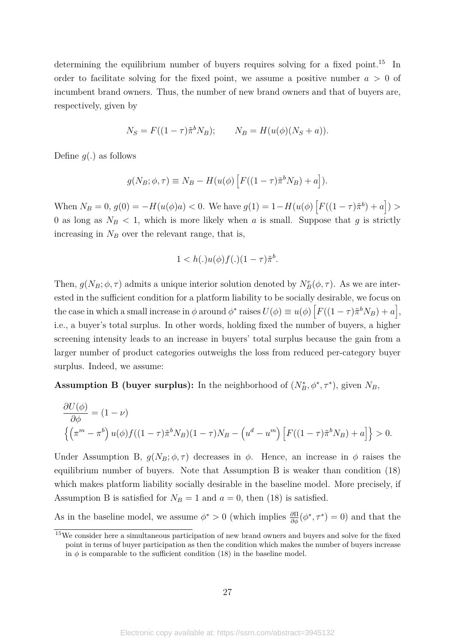determining the equilibrium number of buyers requires solving for a fixed point.<sup>15</sup> In order to facilitate solving for the fixed point, we assume a positive number  $a > 0$  of incumbent brand owners. Thus, the number of new brand owners and that of buyers are, respectively, given by

$$
N_S = F((1 - \tau)\tilde{\pi}^b N_B); \qquad N_B = H(u(\phi)(N_S + a)).
$$

Define *g*(*.*) as follows

$$
g(N_B; \phi, \tau) \equiv N_B - H(u(\phi) \left[ F((1-\tau) \tilde{\pi}^b N_B) + a \right]).
$$

When  $N_B = 0$ ,  $g(0) = -H(u(\phi)a) < 0$ . We have  $g(1) = 1 - H(u(\phi) \left[ F((1 - \tau)\tilde{\pi}^b) + a \right] >$ 0 as long as  $N_B < 1$ , which is more likely when *a* is small. Suppose that *g* is strictly increasing in  $N_B$  over the relevant range, that is,

$$
1 < h(.)u(\phi)f(.) (1 - \tau)\tilde{\pi}^b.
$$

Then,  $g(N_B; \phi, \tau)$  admits a unique interior solution denoted by  $N_B^e(\phi, \tau)$ . As we are interested in the sufficient condition for a platform liability to be socially desirable, we focus on the case in which a small increase in  $\phi$  around  $\phi^*$  raises  $U(\phi) \equiv u(\phi) \left[ F((1 - \tau) \tilde{\pi}^b N_B) + a \right],$ i.e., a buyer's total surplus. In other words, holding fixed the number of buyers, a higher screening intensity leads to an increase in buyers' total surplus because the gain from a larger number of product categories outweighs the loss from reduced per-category buyer surplus. Indeed, we assume:

**Assumption B (buyer surplus):** In the neighborhood of  $(N_B^*, \phi^*, \tau^*)$ , given  $N_B$ ,

$$
\frac{\partial U(\phi)}{\partial \phi} = (1 - \nu)
$$
  

$$
\left\{ \left( \pi^m - \pi^b \right) u(\phi) f((1 - \tau)\tilde{\pi}^b N_B)(1 - \tau)N_B - \left( u^d - u^m \right) \left[ F((1 - \tau)\tilde{\pi}^b N_B) + a \right] \right\} > 0.
$$

Under Assumption B,  $g(N_B; \phi, \tau)$  decreases in  $\phi$ . Hence, an increase in  $\phi$  raises the equilibrium number of buyers. Note that Assumption B is weaker than condition (18) which makes platform liability socially desirable in the baseline model. More precisely, if Assumption B is satisfied for  $N_B = 1$  and  $a = 0$ , then (18) is satisfied.

As in the baseline model, we assume  $\phi^* > 0$  (which implies  $\frac{\partial \Pi}{\partial \phi}(\phi^*, \tau^*) = 0$ ) and that the

<sup>15</sup>We consider here a simultaneous participation of new brand owners and buyers and solve for the fixed point in terms of buyer participation as then the condition which makes the number of buyers increase in  $\phi$  is comparable to the sufficient condition (18) in the baseline model.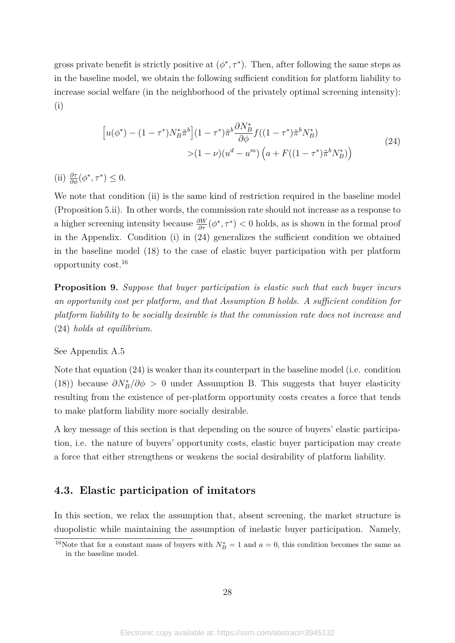gross private benefit is strictly positive at  $(\phi^*, \tau^*)$ . Then, after following the same steps as in the baseline model, we obtain the following sufficient condition for platform liability to increase social welfare (in the neighborhood of the privately optimal screening intensity): (i)

$$
\left[u(\phi^*) - (1 - \tau^*)N_B^* \tilde{\pi}^b\right](1 - \tau^*) \tilde{\pi}^b \frac{\partial N_B^*}{\partial \phi} f((1 - \tau^*) \tilde{\pi}^b N_B^*)\n> (1 - \nu)(u^d - u^m) \left(a + F((1 - \tau^*) \tilde{\pi}^b N_B^*)\right)
$$
\n(24)

(ii)  $\frac{\partial \tau}{\partial \phi}(\phi^*, \tau^*) \leq 0.$ 

We note that condition (ii) is the same kind of restriction required in the baseline model (Proposition 5.ii). In other words, the commission rate should not increase as a response to a higher screening intensity because  $\frac{\partial W}{\partial \tau}(\phi^*, \tau^*) < 0$  holds, as is shown in the formal proof in the Appendix. Condition (i) in (24) generalizes the sufficient condition we obtained in the baseline model (18) to the case of elastic buyer participation with per platform opportunity cost.16

**Proposition 9.** *Suppose that buyer participation is elastic such that each buyer incurs an opportunity cost per platform, and that Assumption B holds. A sufficient condition for platform liability to be socially desirable is that the commission rate does not increase and* (24) *holds at equilibrium.*

#### See Appendix A.5

Note that equation (24) is weaker than its counterpart in the baseline model (i.e. condition (18)) because  $\partial N_B^*/\partial \phi > 0$  under Assumption B. This suggests that buyer elasticity resulting from the existence of per-platform opportunity costs creates a force that tends to make platform liability more socially desirable.

A key message of this section is that depending on the source of buyers' elastic participation, i.e. the nature of buyers' opportunity costs, elastic buyer participation may create a force that either strengthens or weakens the social desirability of platform liability.

# **4.3. Elastic participation of imitators**

In this section, we relax the assumption that, absent screening, the market structure is duopolistic while maintaining the assumption of inelastic buyer participation. Namely,

<sup>&</sup>lt;sup>16</sup>Note that for a constant mass of buyers with  $N_B^* = 1$  and  $a = 0$ , this condition becomes the same as in the baseline model.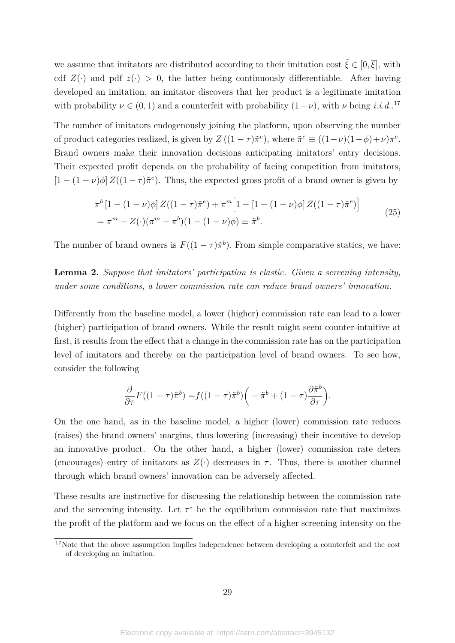we assume that imitators are distributed according to their imitation cost  $\tilde{\xi} \in [0, \overline{\xi}]$ , with cdf  $Z(\cdot)$  and pdf  $z(\cdot) > 0$ , the latter being continuously differentiable. After having developed an imitation, an imitator discovers that her product is a legitimate imitation with probability  $\nu \in (0,1)$  and a counterfeit with probability  $(1-\nu)$ , with  $\nu$  being *i.i.d.*.<sup>17</sup>

The number of imitators endogenously joining the platform, upon observing the number of product categories realized, is given by  $Z((1 - \tau)\tilde{\pi}^e)$ , where  $\tilde{\pi}^e \equiv ((1 - \nu)(1 - \phi) + \nu)\pi^e$ . Brand owners make their innovation decisions anticipating imitators' entry decisions. Their expected profit depends on the probability of facing competition from imitators,  $[1 - (1 - \nu)\phi] Z((1 - \tau)\tilde{\pi}^e)$ . Thus, the expected gross profit of a brand owner is given by

$$
\pi^{b} [1 - (1 - \nu)\phi] Z((1 - \tau)\tilde{\pi}^{e}) + \pi^{m} [1 - [1 - (1 - \nu)\phi] Z((1 - \tau)\tilde{\pi}^{e})]
$$
  
= 
$$
\pi^{m} - Z(\cdot)(\pi^{m} - \pi^{b})(1 - (1 - \nu)\phi) \equiv \tilde{\pi}^{b}.
$$
 (25)

The number of brand owners is  $F((1 - \tau)\tilde{\pi}^b)$ . From simple comparative statics, we have:

**Lemma 2.** *Suppose that imitators' participation is elastic. Given a screening intensity, under some conditions, a lower commission rate can reduce brand owners' innovation.*

Differently from the baseline model, a lower (higher) commission rate can lead to a lower (higher) participation of brand owners. While the result might seem counter-intuitive at first, it results from the effect that a change in the commission rate has on the participation level of imitators and thereby on the participation level of brand owners. To see how, consider the following

$$
\frac{\partial}{\partial \tau} F((1-\tau)\tilde{\pi}^b) = f((1-\tau)\tilde{\pi}^b) \left(-\tilde{\pi}^b + (1-\tau)\frac{\partial \tilde{\pi}^b}{\partial \tau}\right).
$$

On the one hand, as in the baseline model, a higher (lower) commission rate reduces (raises) the brand owners' margins, thus lowering (increasing) their incentive to develop an innovative product. On the other hand, a higher (lower) commission rate deters (encourages) entry of imitators as  $Z(\cdot)$  decreases in  $\tau$ . Thus, there is another channel through which brand owners' innovation can be adversely affected.

These results are instructive for discussing the relationship between the commission rate and the screening intensity. Let  $\tau^*$  be the equilibrium commission rate that maximizes the profit of the platform and we focus on the effect of a higher screening intensity on the

<sup>&</sup>lt;sup>17</sup>Note that the above assumption implies independence between developing a counterfeit and the cost of developing an imitation.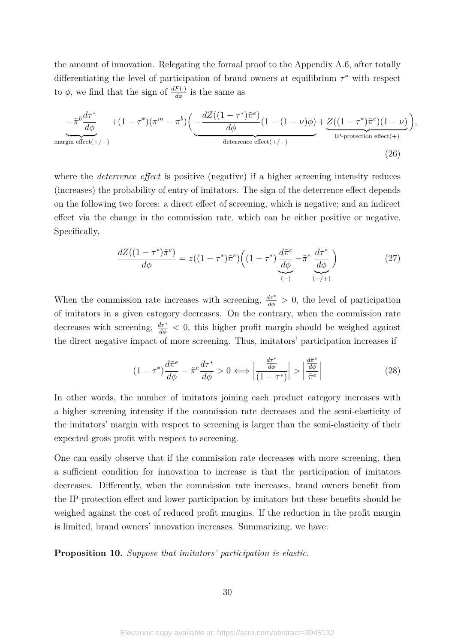the amount of innovation. Relegating the formal proof to the Appendix A.6, after totally differentiating the level of participation of brand owners at equilibrium *τ* <sup>∗</sup> with respect to  $\phi$ , we find that the sign of  $\frac{dF(\cdot)}{d\phi}$  is the same as

$$
-\tilde{\pi}^b \frac{d\tau^*}{d\phi} + (1 - \tau^*)(\pi^m - \pi^b) \left( \underbrace{-\frac{dZ((1 - \tau^*)\tilde{\pi}^e)}{d\phi}(1 - (1 - \nu)\phi)}_{\text{deterrence effect}(+/-)} + \underbrace{Z((1 - \tau^*)\tilde{\pi}^e)(1 - \nu)}_{\text{IP-protection effect}(+)} \right),
$$
\n
$$
(26)
$$

where the *deterrence effect* is positive (negative) if a higher screening intensity reduces (increases) the probability of entry of imitators. The sign of the deterrence effect depends on the following two forces: a direct effect of screening, which is negative; and an indirect effect via the change in the commission rate, which can be either positive or negative. Specifically,

$$
\frac{dZ((1-\tau^*)\tilde{\pi}^e)}{d\phi} = z((1-\tau^*)\tilde{\pi}^e) \left((1-\tau^*)\frac{d\tilde{\pi}^e}{d\phi} - \tilde{\pi}^e \frac{d\tau^*}{d\phi}\right) \tag{27}
$$

When the commission rate increases with screening,  $\frac{d\tau^*}{d\phi} > 0$ , the level of participation of imitators in a given category decreases. On the contrary, when the commission rate decreases with screening,  $\frac{d\tau^*}{d\phi} < 0$ , this higher profit margin should be weighed against the direct negative impact of more screening. Thus, imitators' participation increases if

$$
(1 - \tau^*)\frac{d\tilde{\pi}^e}{d\phi} - \tilde{\pi}^e \frac{d\tau^*}{d\phi} > 0 \Longleftrightarrow \left| \frac{\frac{d\tau^*}{d\phi}}{(1 - \tau^*)} \right| > \left| \frac{\frac{d\tilde{\pi}^e}{d\phi}}{\tilde{\pi}^e} \right| \tag{28}
$$

In other words, the number of imitators joining each product category increases with a higher screening intensity if the commission rate decreases and the semi-elasticity of the imitators' margin with respect to screening is larger than the semi-elasticity of their expected gross profit with respect to screening.

One can easily observe that if the commission rate decreases with more screening, then a sufficient condition for innovation to increase is that the participation of imitators decreases. Differently, when the commission rate increases, brand owners benefit from the IP-protection effect and lower participation by imitators but these benefits should be weighed against the cost of reduced profit margins. If the reduction in the profit margin is limited, brand owners' innovation increases. Summarizing, we have:

**Proposition 10.** *Suppose that imitators' participation is elastic.*

30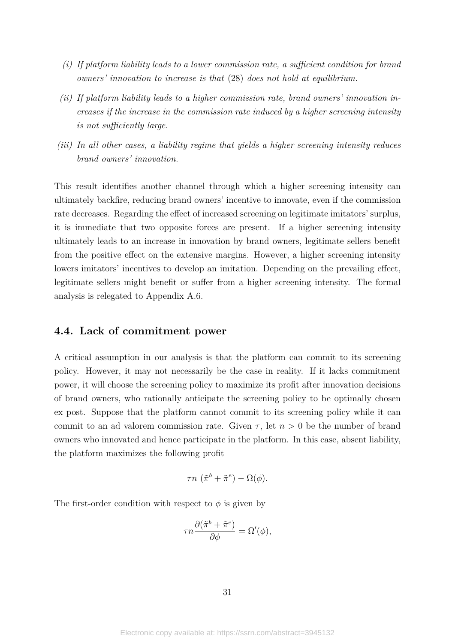- *(i) If platform liability leads to a lower commission rate, a sufficient condition for brand owners' innovation to increase is that* (28) *does not hold at equilibrium.*
- *(ii) If platform liability leads to a higher commission rate, brand owners' innovation increases if the increase in the commission rate induced by a higher screening intensity is not sufficiently large.*
- *(iii) In all other cases, a liability regime that yields a higher screening intensity reduces brand owners' innovation.*

This result identifies another channel through which a higher screening intensity can ultimately backfire, reducing brand owners' incentive to innovate, even if the commission rate decreases. Regarding the effect of increased screening on legitimate imitators' surplus, it is immediate that two opposite forces are present. If a higher screening intensity ultimately leads to an increase in innovation by brand owners, legitimate sellers benefit from the positive effect on the extensive margins. However, a higher screening intensity lowers imitators' incentives to develop an imitation. Depending on the prevailing effect, legitimate sellers might benefit or suffer from a higher screening intensity. The formal analysis is relegated to Appendix A.6.

### **4.4. Lack of commitment power**

A critical assumption in our analysis is that the platform can commit to its screening policy. However, it may not necessarily be the case in reality. If it lacks commitment power, it will choose the screening policy to maximize its profit after innovation decisions of brand owners, who rationally anticipate the screening policy to be optimally chosen ex post. Suppose that the platform cannot commit to its screening policy while it can commit to an ad valorem commission rate. Given  $\tau$ , let  $n > 0$  be the number of brand owners who innovated and hence participate in the platform. In this case, absent liability, the platform maximizes the following profit

$$
\tau n \left( \tilde{\pi}^b + \tilde{\pi}^e \right) - \Omega(\phi).
$$

The first-order condition with respect to  $\phi$  is given by

$$
\tau n \frac{\partial (\tilde{\pi}^b + \tilde{\pi}^e)}{\partial \phi} = \Omega'(\phi),
$$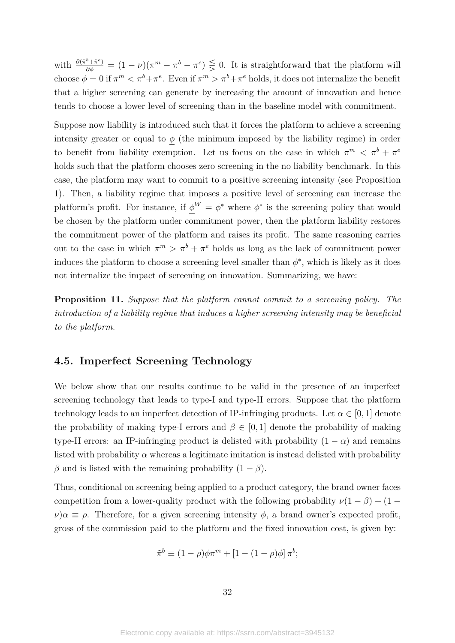with  $\frac{\partial (\tilde{\pi}^b + \tilde{\pi}^e)}{\partial \phi} = (1 - \nu)(\pi^m - \pi^b - \pi^e) \leq 0$ . It is straightforward that the platform will choose  $\phi = 0$  if  $\pi^m < \pi^b + \pi^e$ . Even if  $\pi^m > \pi^b + \pi^e$  holds, it does not internalize the benefit that a higher screening can generate by increasing the amount of innovation and hence tends to choose a lower level of screening than in the baseline model with commitment.

Suppose now liability is introduced such that it forces the platform to achieve a screening intensity greater or equal to  $\phi$  (the minimum imposed by the liability regime) in order to benefit from liability exemption. Let us focus on the case in which  $\pi^m < \pi^b + \pi^e$ holds such that the platform chooses zero screening in the no liability benchmark. In this case, the platform may want to commit to a positive screening intensity (see Proposition 1). Then, a liability regime that imposes a positive level of screening can increase the platform's profit. For instance, if  $\phi^W = \phi^*$  where  $\phi^*$  is the screening policy that would be chosen by the platform under commitment power, then the platform liability restores the commitment power of the platform and raises its profit. The same reasoning carries out to the case in which  $\pi^m > \pi^b + \pi^e$  holds as long as the lack of commitment power induces the platform to choose a screening level smaller than  $\phi^*$ , which is likely as it does not internalize the impact of screening on innovation. Summarizing, we have:

**Proposition 11.** *Suppose that the platform cannot commit to a screening policy. The introduction of a liability regime that induces a higher screening intensity may be beneficial to the platform.*

# **4.5. Imperfect Screening Technology**

We below show that our results continue to be valid in the presence of an imperfect screening technology that leads to type-I and type-II errors. Suppose that the platform technology leads to an imperfect detection of IP-infringing products. Let  $\alpha \in [0,1]$  denote the probability of making type-I errors and  $\beta \in [0,1]$  denote the probability of making type-II errors: an IP-infringing product is delisted with probability  $(1 - \alpha)$  and remains listed with probability  $\alpha$  whereas a legitimate imitation is instead delisted with probability *β* and is listed with the remaining probability  $(1 - β)$ .

Thus, conditional on screening being applied to a product category, the brand owner faces competition from a lower-quality product with the following probability  $\nu(1 - \beta) + (1 \nu$ ) $\alpha \equiv \rho$ . Therefore, for a given screening intensity  $\phi$ , a brand owner's expected profit, gross of the commission paid to the platform and the fixed innovation cost, is given by:

$$
\tilde{\pi}^b \equiv (1 - \rho)\phi\pi^m + [1 - (1 - \rho)\phi]\pi^b;
$$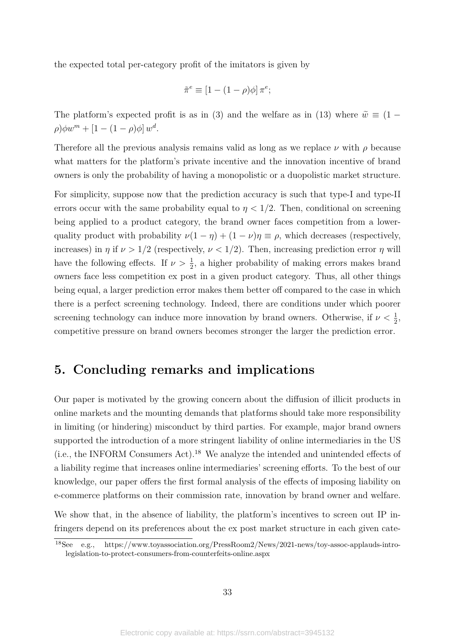the expected total per-category profit of the imitators is given by

$$
\tilde{\pi}^e \equiv [1 - (1 - \rho)\phi] \pi^e;
$$

The platform's expected profit is as in (3) and the welfare as in (13) where  $\tilde{w} \equiv (1 (\rho)\phi w^m + [1 - (1 - \rho)\phi]w^d$ .

Therefore all the previous analysis remains valid as long as we replace *ν* with *ρ* because what matters for the platform's private incentive and the innovation incentive of brand owners is only the probability of having a monopolistic or a duopolistic market structure.

For simplicity, suppose now that the prediction accuracy is such that type-I and type-II errors occur with the same probability equal to  $\eta < 1/2$ . Then, conditional on screening being applied to a product category, the brand owner faces competition from a lowerquality product with probability  $\nu(1 - \eta) + (1 - \nu)\eta \equiv \rho$ , which decreases (respectively, increases) in  $\eta$  if  $\nu > 1/2$  (respectively,  $\nu < 1/2$ ). Then, increasing prediction error  $\eta$  will have the following effects. If  $\nu > \frac{1}{2}$ , a higher probability of making errors makes brand owners face less competition ex post in a given product category. Thus, all other things being equal, a larger prediction error makes them better off compared to the case in which there is a perfect screening technology. Indeed, there are conditions under which poorer screening technology can induce more innovation by brand owners. Otherwise, if  $\nu < \frac{1}{2}$ , competitive pressure on brand owners becomes stronger the larger the prediction error.

# **5. Concluding remarks and implications**

Our paper is motivated by the growing concern about the diffusion of illicit products in online markets and the mounting demands that platforms should take more responsibility in limiting (or hindering) misconduct by third parties. For example, major brand owners supported the introduction of a more stringent liability of online intermediaries in the US (i.e., the INFORM Consumers Act).18 We analyze the intended and unintended effects of a liability regime that increases online intermediaries' screening efforts. To the best of our knowledge, our paper offers the first formal analysis of the effects of imposing liability on e-commerce platforms on their commission rate, innovation by brand owner and welfare.

We show that, in the absence of liability, the platform's incentives to screen out IP infringers depend on its preferences about the ex post market structure in each given cate-

<sup>18</sup>See e.g., https://www.toyassociation.org/PressRoom2/News/2021-news/toy-assoc-applauds-introlegislation-to-protect-consumers-from-counterfeits-online.aspx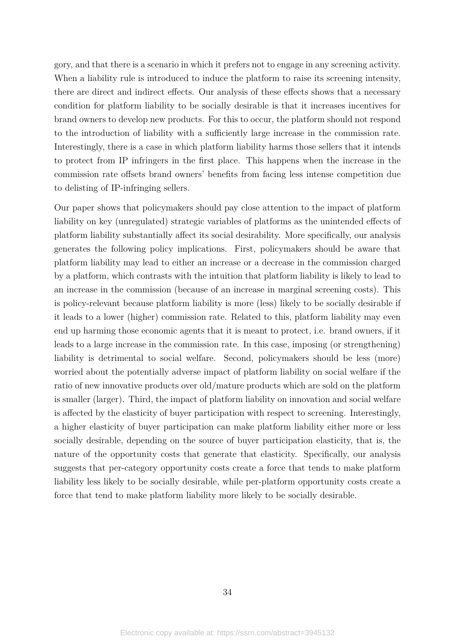gory, and that there is a scenario in which it prefers not to engage in any screening activity. When a liability rule is introduced to induce the platform to raise its screening intensity, there are direct and indirect effects. Our analysis of these effects shows that a necessary condition for platform liability to be socially desirable is that it increases incentives for brand owners to develop new products. For this to occur, the platform should not respond to the introduction of liability with a sufficiently large increase in the commission rate. Interestingly, there is a case in which platform liability harms those sellers that it intends to protect from IP infringers in the first place. This happens when the increase in the commission rate offsets brand owners' benefits from facing less intense competition due to delisting of IP-infringing sellers.

Our paper shows that policymakers should pay close attention to the impact of platform liability on key (unregulated) strategic variables of platforms as the unintended effects of platform liability substantially affect its social desirability. More specifically, our analysis generates the following policy implications. First, policymakers should be aware that platform liability may lead to either an increase or a decrease in the commission charged by a platform, which contrasts with the intuition that platform liability is likely to lead to an increase in the commission (because of an increase in marginal screening costs). This is policy-relevant because platform liability is more (less) likely to be socially desirable if it leads to a lower (higher) commission rate. Related to this, platform liability may even end up harming those economic agents that it is meant to protect, i.e. brand owners, if it leads to a large increase in the commission rate. In this case, imposing (or strengthening) liability is detrimental to social welfare. Second, policymakers should be less (more) worried about the potentially adverse impact of platform liability on social welfare if the ratio of new innovative products over old/mature products which are sold on the platform is smaller (larger). Third, the impact of platform liability on innovation and social welfare is affected by the elasticity of buyer participation with respect to screening. Interestingly, a higher elasticity of buyer participation can make platform liability either more or less socially desirable, depending on the source of buyer participation elasticity, that is, the nature of the opportunity costs that generate that elasticity. Specifically, our analysis suggests that per-category opportunity costs create a force that tends to make platform liability less likely to be socially desirable, while per-platform opportunity costs create a force that tend to make platform liability more likely to be socially desirable.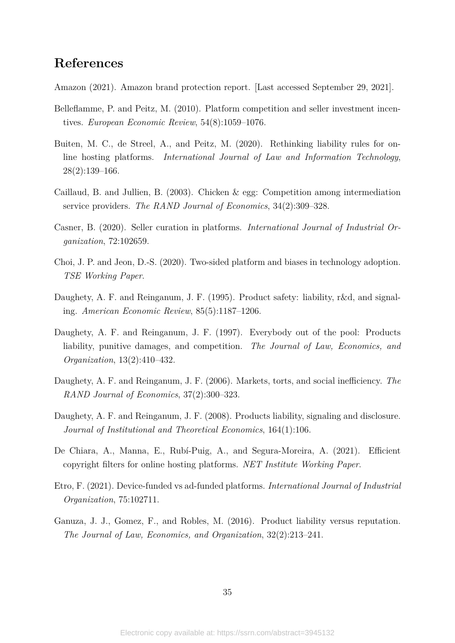# **References**

Amazon (2021). Amazon brand protection report. [Last accessed September 29, 2021].

- Belleflamme, P. and Peitz, M. (2010). Platform competition and seller investment incentives. *European Economic Review*, 54(8):1059–1076.
- Buiten, M. C., de Streel, A., and Peitz, M. (2020). Rethinking liability rules for online hosting platforms. *International Journal of Law and Information Technology*, 28(2):139–166.
- Caillaud, B. and Jullien, B. (2003). Chicken & egg: Competition among intermediation service providers. *The RAND Journal of Economics*, 34(2):309–328.
- Casner, B. (2020). Seller curation in platforms. *International Journal of Industrial Organization*, 72:102659.
- Choi, J. P. and Jeon, D.-S. (2020). Two-sided platform and biases in technology adoption. *TSE Working Paper*.
- Daughety, A. F. and Reinganum, J. F. (1995). Product safety: liability, r&d, and signaling. *American Economic Review*, 85(5):1187–1206.
- Daughety, A. F. and Reinganum, J. F. (1997). Everybody out of the pool: Products liability, punitive damages, and competition. *The Journal of Law, Economics, and Organization*, 13(2):410–432.
- Daughety, A. F. and Reinganum, J. F. (2006). Markets, torts, and social inefficiency. *The RAND Journal of Economics*, 37(2):300–323.
- Daughety, A. F. and Reinganum, J. F. (2008). Products liability, signaling and disclosure. *Journal of Institutional and Theoretical Economics*, 164(1):106.
- De Chiara, A., Manna, E., Rubí-Puig, A., and Segura-Moreira, A. (2021). Efficient copyright filters for online hosting platforms. *NET Institute Working Paper*.
- Etro, F. (2021). Device-funded vs ad-funded platforms. *International Journal of Industrial Organization*, 75:102711.
- Ganuza, J. J., Gomez, F., and Robles, M. (2016). Product liability versus reputation. *The Journal of Law, Economics, and Organization*, 32(2):213–241.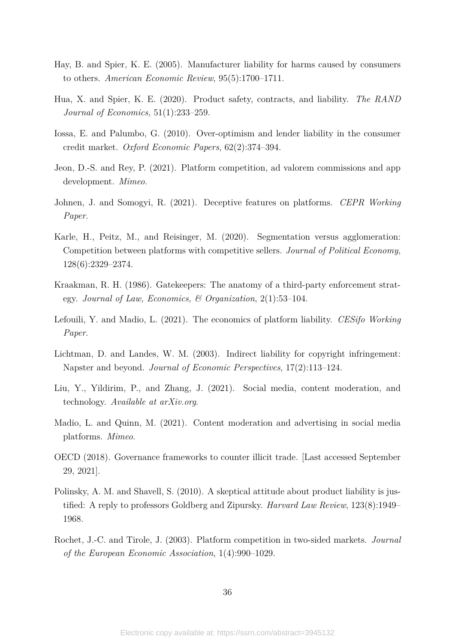- Hay, B. and Spier, K. E. (2005). Manufacturer liability for harms caused by consumers to others. *American Economic Review*, 95(5):1700–1711.
- Hua, X. and Spier, K. E. (2020). Product safety, contracts, and liability. *The RAND Journal of Economics*, 51(1):233–259.
- Iossa, E. and Palumbo, G. (2010). Over-optimism and lender liability in the consumer credit market. *Oxford Economic Papers*, 62(2):374–394.
- Jeon, D.-S. and Rey, P. (2021). Platform competition, ad valorem commissions and app development. *Mimeo*.
- Johnen, J. and Somogyi, R. (2021). Deceptive features on platforms. *CEPR Working Paper*.
- Karle, H., Peitz, M., and Reisinger, M. (2020). Segmentation versus agglomeration: Competition between platforms with competitive sellers. *Journal of Political Economy*, 128(6):2329–2374.
- Kraakman, R. H. (1986). Gatekeepers: The anatomy of a third-party enforcement strategy. *Journal of Law, Economics, & Organization*, 2(1):53–104.
- Lefouili, Y. and Madio, L. (2021). The economics of platform liability. *CESifo Working Paper*.
- Lichtman, D. and Landes, W. M. (2003). Indirect liability for copyright infringement: Napster and beyond. *Journal of Economic Perspectives*, 17(2):113–124.
- Liu, Y., Yildirim, P., and Zhang, J. (2021). Social media, content moderation, and technology. *Available at arXiv.org*.
- Madio, L. and Quinn, M. (2021). Content moderation and advertising in social media platforms. *Mimeo*.
- OECD (2018). Governance frameworks to counter illicit trade. [Last accessed September 29, 2021].
- Polinsky, A. M. and Shavell, S. (2010). A skeptical attitude about product liability is justified: A reply to professors Goldberg and Zipursky. *Harvard Law Review*, 123(8):1949– 1968.
- Rochet, J.-C. and Tirole, J. (2003). Platform competition in two-sided markets. *Journal of the European Economic Association*, 1(4):990–1029.

36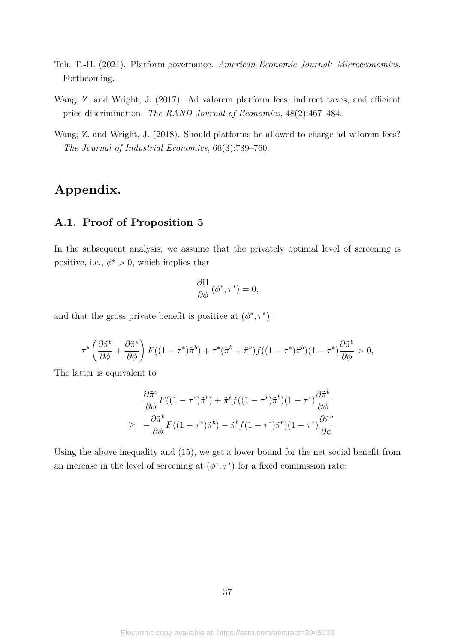- Teh, T.-H. (2021). Platform governance. *American Economic Journal: Microeconomics*. Forthcoming.
- Wang, Z. and Wright, J. (2017). Ad valorem platform fees, indirect taxes, and efficient price discrimination. *The RAND Journal of Economics*, 48(2):467–484.
- Wang, Z. and Wright, J. (2018). Should platforms be allowed to charge ad valorem fees? *The Journal of Industrial Economics*, 66(3):739–760.

# **Appendix.**

# **A.1. Proof of Proposition 5**

In the subsequent analysis, we assume that the privately optimal level of screening is positive, i.e.,  $\phi^* > 0$ , which implies that

$$
\frac{\partial \Pi}{\partial \phi} (\phi^*, \tau^*) = 0,
$$

and that the gross private benefit is positive at  $(\phi^*, \tau^*)$ :

$$
\tau^* \left( \frac{\partial \tilde{\pi}^b}{\partial \phi} + \frac{\partial \tilde{\pi}^e}{\partial \phi} \right) F((1 - \tau^*) \tilde{\pi}^b) + \tau^* (\tilde{\pi}^b + \tilde{\pi}^e) f((1 - \tau^*) \tilde{\pi}^b)(1 - \tau^*) \frac{\partial \tilde{\pi}^b}{\partial \phi} > 0,
$$

The latter is equivalent to

$$
\frac{\partial \tilde{\pi}^e}{\partial \phi} F((1-\tau^*)\tilde{\pi}^b) + \tilde{\pi}^e f((1-\tau^*)\tilde{\pi}^b)(1-\tau^*) \frac{\partial \tilde{\pi}^b}{\partial \phi}
$$

$$
\geq -\frac{\partial \tilde{\pi}^b}{\partial \phi} F((1-\tau^*)\tilde{\pi}^b) - \tilde{\pi}^b f(1-\tau^*)\tilde{\pi}^b)(1-\tau^*) \frac{\partial \tilde{\pi}^b}{\partial \phi}
$$

Using the above inequality and (15), we get a lower bound for the net social benefit from an increase in the level of screening at  $(\phi^*, \tau^*)$  for a fixed commission rate: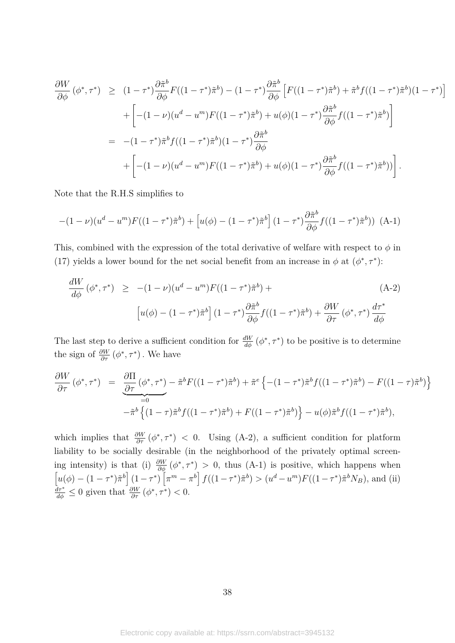$$
\frac{\partial W}{\partial \phi}(\phi^*, \tau^*) \ge (1 - \tau^*) \frac{\partial \tilde{\pi}^b}{\partial \phi} F((1 - \tau^*) \tilde{\pi}^b) - (1 - \tau^*) \frac{\partial \tilde{\pi}^b}{\partial \phi} \left[ F((1 - \tau^*) \tilde{\pi}^b) + \tilde{\pi}^b f((1 - \tau^*) \tilde{\pi}^b)(1 - \tau^*) \right]
$$
  
+ 
$$
\left[ -(1 - \nu)(u^d - u^m) F((1 - \tau^*) \tilde{\pi}^b) + u(\phi)(1 - \tau^*) \frac{\partial \tilde{\pi}^b}{\partial \phi} f((1 - \tau^*) \tilde{\pi}^b) \right]
$$
  
= 
$$
-(1 - \tau^*) \tilde{\pi}^b f((1 - \tau^*) \tilde{\pi}^b)(1 - \tau^*) \frac{\partial \tilde{\pi}^b}{\partial \phi}
$$
  
+ 
$$
\left[ -(1 - \nu)(u^d - u^m) F((1 - \tau^*) \tilde{\pi}^b) + u(\phi)(1 - \tau^*) \frac{\partial \tilde{\pi}^b}{\partial \phi} f((1 - \tau^*) \tilde{\pi}^b)) \right].
$$

Note that the R.H.S simplifies to

$$
-(1-\nu)(u^{d}-u^{m})F((1-\tau^{*})\tilde{\pi}^{b}) + [u(\phi) - (1-\tau^{*})\tilde{\pi}^{b}](1-\tau^{*})\frac{\partial \tilde{\pi}^{b}}{\partial \phi}f((1-\tau^{*})\tilde{\pi}^{b})) (A-1)
$$

This, combined with the expression of the total derivative of welfare with respect to  $\phi$  in (17) yields a lower bound for the net social benefit from an increase in  $\phi$  at  $(\phi^*, \tau^*)$ :

$$
\frac{dW}{d\phi}(\phi^*, \tau^*) \ge -(1 - \nu)(u^d - u^m)F((1 - \tau^*)\tilde{\pi}^b) +
$$
\n
$$
\left[u(\phi) - (1 - \tau^*)\tilde{\pi}^b\right](1 - \tau^*)\frac{\partial \tilde{\pi}^b}{\partial \phi}f((1 - \tau^*)\tilde{\pi}^b) + \frac{\partial W}{\partial \tau}(\phi^*, \tau^*)\frac{d\tau^*}{d\phi}
$$
\n(A-2)

The last step to derive a sufficient condition for  $\frac{dW}{d\phi}(\phi^*, \tau^*)$  to be positive is to determine the sign of  $\frac{\partial W}{\partial \tau}(\phi^*, \tau^*)$ . We have

$$
\frac{\partial W}{\partial \tau} (\phi^*, \tau^*) = \underbrace{\frac{\partial \Pi}{\partial \tau} (\phi^*, \tau^*)}_{=0} - \tilde{\pi}^b F((1 - \tau^*) \tilde{\pi}^b) + \tilde{\pi}^e \left\{ -(1 - \tau^*) \tilde{\pi}^b f((1 - \tau^*) \tilde{\pi}^b) - F((1 - \tau) \tilde{\pi}^b) \right\} - \tilde{\pi}^b \left\{ (1 - \tau) \tilde{\pi}^b f((1 - \tau^*) \tilde{\pi}^b) + F((1 - \tau^*) \tilde{\pi}^b) \right\} - u(\phi) \tilde{\pi}^b f((1 - \tau^*) \tilde{\pi}^b),
$$

which implies that  $\frac{\partial W}{\partial \tau}(\phi^*, \tau^*)$  < 0. Using (A-2), a sufficient condition for platform liability to be socially desirable (in the neighborhood of the privately optimal screening intensity) is that (i)  $\frac{\partial W}{\partial \phi}(\phi^*, \tau^*) > 0$ , thus (A-1) is positive, which happens when  $\left[u(\phi) - (1 - \tau^*)\tilde{\pi}^b\right](1 - \tau^*)\left[\pi^m - \pi^b\right]f((1 - \tau^*)\tilde{\pi}^b) > (u^d - u^m)F((1 - \tau^*)\tilde{\pi}^b N_B),$  and (ii)  $\frac{d\tau^*}{d\phi} \leq 0$  given that  $\frac{\partial W}{\partial \tau}(\phi^*, \tau^*) < 0$ .

38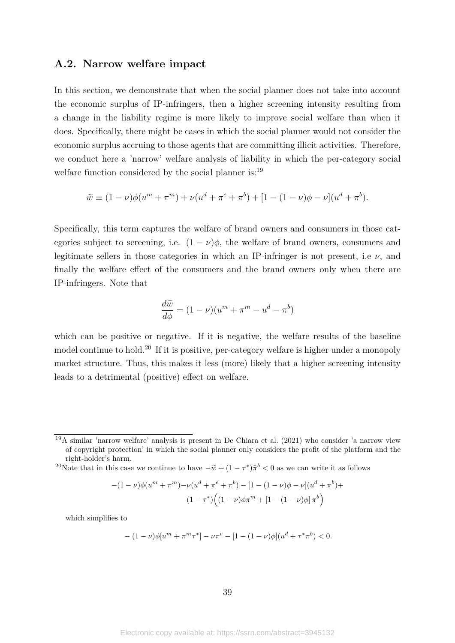# **A.2. Narrow welfare impact**

In this section, we demonstrate that when the social planner does not take into account the economic surplus of IP-infringers, then a higher screening intensity resulting from a change in the liability regime is more likely to improve social welfare than when it does. Specifically, there might be cases in which the social planner would not consider the economic surplus accruing to those agents that are committing illicit activities. Therefore, we conduct here a 'narrow' welfare analysis of liability in which the per-category social welfare function considered by the social planner is:<sup>19</sup>

$$
\widetilde{w} \equiv (1 - \nu)\phi(u^{m} + \pi^{m}) + \nu(u^{d} + \pi^{e} + \pi^{b}) + [1 - (1 - \nu)\phi - \nu](u^{d} + \pi^{b}).
$$

Specifically, this term captures the welfare of brand owners and consumers in those categories subject to screening, i.e.  $(1 - \nu)\phi$ , the welfare of brand owners, consumers and legitimate sellers in those categories in which an IP-infringer is not present, i.e  $\nu$ , and finally the welfare effect of the consumers and the brand owners only when there are IP-infringers. Note that

$$
\frac{d\tilde{w}}{d\phi} = (1 - \nu)(u^m + \pi^m - u^d - \pi^b)
$$

which can be positive or negative. If it is negative, the welfare results of the baseline model continue to hold.<sup>20</sup> If it is positive, per-category welfare is higher under a monopoly market structure. Thus, this makes it less (more) likely that a higher screening intensity leads to a detrimental (positive) effect on welfare.

<sup>20</sup>Note that in this case we continue to have  $-\tilde{w} + (1 - \tau^*)\tilde{\pi}^b < 0$  as we can write it as follows

$$
-(1-\nu)\phi(u^{m} + \pi^{m}) - \nu(u^{d} + \pi^{e} + \pi^{b}) - [1 - (1-\nu)\phi - \nu](u^{d} + \pi^{b}) +
$$

$$
(1 - \tau^{*})\Big((1 - \nu)\phi\pi^{m} + [1 - (1 - \nu)\phi]\pi^{b}\Big)
$$

which simplifies to

$$
-(1-\nu)\phi[u^{m} + \pi^{m}\tau^{*}] - \nu\pi^{e} - [1 - (1-\nu)\phi](u^{d} + \tau^{*}\pi^{b}) < 0.
$$

<sup>19</sup>A similar 'narrow welfare' analysis is present in De Chiara et al. (2021) who consider 'a narrow view of copyright protection' in which the social planner only considers the profit of the platform and the right-holder's harm.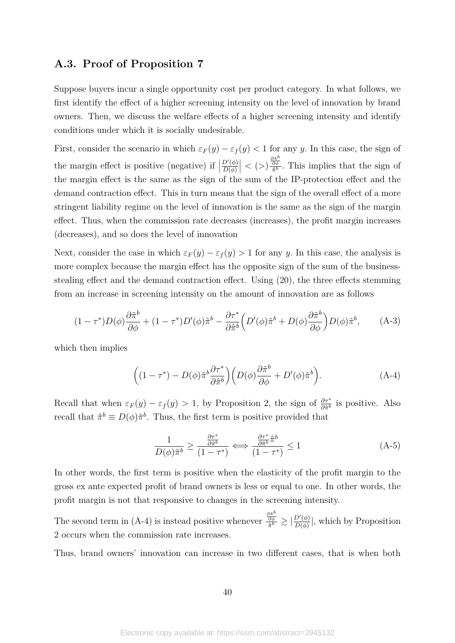# **A.3. Proof of Proposition 7**

Suppose buyers incur a single opportunity cost per product category. In what follows, we first identify the effect of a higher screening intensity on the level of innovation by brand owners. Then, we discuss the welfare effects of a higher screening intensity and identify conditions under which it is socially undesirable.

First, consider the scenario in which  $\varepsilon_F(y) - \varepsilon_f(y) < 1$  for any *y*. In this case, the sign of the margin effect is positive (negative) if  $\Big\vert$  $D'(\phi)$ *D*(*φ*)  $\left| \langle \langle \rangle \right| \frac{\partial \tilde{\pi}^b}{\partial \phi}$  $\frac{\partial \phi}{\partial \pi}$ . This implies that the sign of the margin effect is the same as the sign of the sum of the IP-protection effect and the demand contraction effect. This in turn means that the sign of the overall effect of a more stringent liability regime on the level of innovation is the same as the sign of the margin effect. Thus, when the commission rate decreases (increases), the profit margin increases (decreases), and so does the level of innovation

Next, consider the case in which  $\varepsilon_F(y) - \varepsilon_f(y) > 1$  for any *y*. In this case, the analysis is more complex because the margin effect has the opposite sign of the sum of the businessstealing effect and the demand contraction effect. Using (20), the three effects stemming from an increase in screening intensity on the amount of innovation are as follows

$$
(1 - \tau^*) D(\phi) \frac{\partial \tilde{\pi}^b}{\partial \phi} + (1 - \tau^*) D'(\phi) \tilde{\pi}^b - \frac{\partial \tau^*}{\partial \hat{\pi}^b} \left( D'(\phi) \tilde{\pi}^b + D(\phi) \frac{\partial \tilde{\pi}^b}{\partial \phi} \right) D(\phi) \tilde{\pi}^b, \tag{A-3}
$$

which then implies

$$
\left((1-\tau^*) - D(\phi)\tilde{\pi}^b \frac{\partial \tau^*}{\partial \hat{\pi}^b}\right) \left(D(\phi)\frac{\partial \tilde{\pi}^b}{\partial \phi} + D'(\phi)\tilde{\pi}^b\right).
$$
 (A-4)

Recall that when  $\varepsilon_F(y) - \varepsilon_f(y) > 1$ , by Proposition 2, the sign of  $\frac{\partial \tau^*}{\partial \hat{\pi}^b}$  is positive. Also recall that  $\hat{\pi}^b \equiv D(\phi)\tilde{\pi}^b$ . Thus, the first term is positive provided that

$$
\frac{1}{D(\phi)\tilde{\pi}^b} \ge \frac{\frac{\partial \tau^*}{\partial \tilde{\pi}^b}}{(1 - \tau^*)} \iff \frac{\frac{\partial \tau^*}{\partial \tilde{\pi}^b} \tilde{\pi}^b}{(1 - \tau^*)} \le 1
$$
\n(A-5)

In other words, the first term is positive when the elasticity of the profit margin to the gross ex ante expected profit of brand owners is less or equal to one. In other words, the profit margin is not that responsive to changes in the screening intensity.

The second term in (A-4) is instead positive whenever  $\frac{\frac{\partial \tilde{\pi}^k}{\partial \tilde{\phi}}}{\tilde{\pi}^k}$  $\frac{\frac{\partial \pi}{\partial \phi}}{\tilde{\pi}^b} \geq \big|\frac{D'(\phi)}{D(\phi)}\big|$  $\frac{D'(\phi)}{D(\phi)}$ , which by Proposition 2 occurs when the commission rate increases.

Thus, brand owners' innovation can increase in two different cases, that is when both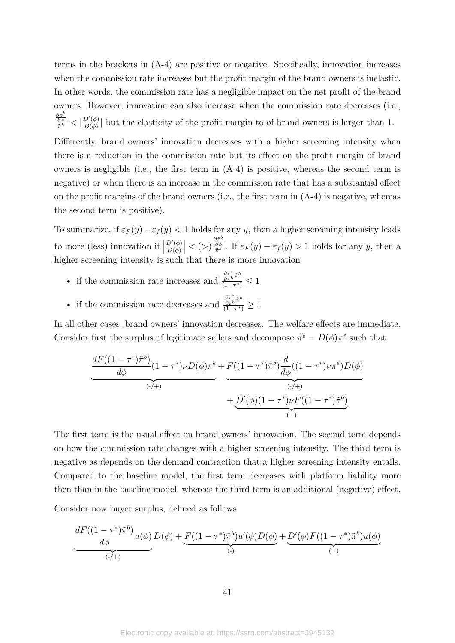terms in the brackets in (A-4) are positive or negative. Specifically, innovation increases when the commission rate increases but the profit margin of the brand owners is inelastic. In other words, the commission rate has a negligible impact on the net profit of the brand owners. However, innovation can also increase when the commission rate decreases (i.e.,  $\partial \tilde{\pi}^b$  $\frac{\frac{\partial \pi}{\partial \phi}}{\tilde{\pi}^b} < \big|\frac{D'(\phi)}{D(\phi)}\big|$  $\frac{D'(\phi)}{D(\phi)}$  but the elasticity of the profit margin to of brand owners is larger than 1.

Differently, brand owners' innovation decreases with a higher screening intensity when there is a reduction in the commission rate but its effect on the profit margin of brand owners is negligible (i.e., the first term in (A-4) is positive, whereas the second term is negative) or when there is an increase in the commission rate that has a substantial effect on the profit margins of the brand owners (i.e., the first term in  $(A-4)$ ) is negative, whereas the second term is positive).

To summarize, if  $\varepsilon_F(y) - \varepsilon_f(y) < 1$  holds for any *y*, then a higher screening intensity leads to more (less) innovation if  $\vert$  $D'(\phi)$ *D*(*φ*)  $\left| \langle \langle \rangle \right| \frac{\partial \tilde{\pi}^b}{\partial \phi}$  $\frac{\partial \phi}{\partial \phi}$ . If  $\varepsilon_F(y) - \varepsilon_f(y) > 1$  holds for any *y*, then a higher screening intensity is such that there is more innovation

- if the commission rate increases and *∂τ*<sup>∗</sup> *∂π*ˆ*b π*ˆ *b*  $\frac{\partial \hat{\pi}^{b}}{\left(1-\tau^*\right)} \leq 1$
- if the commission rate decreases and *∂τ*<sup>∗</sup> *∂π*ˆ*b π*ˆ *b*  $\frac{\partial \hat{\pi}^{b}}{\left(1-\tau^*\right)}\geq 1$

In all other cases, brand owners' innovation decreases. The welfare effects are immediate. Consider first the surplus of legitimate sellers and decompose  $\tilde{\pi}^e = D(\phi)\pi^e$  such that

$$
\underbrace{\frac{dF((1-\tau^*)\tilde{\pi}^b)}{d\phi}(1-\tau^*)\nu D(\phi)\pi^e}_{(\cdot)+} + \underbrace{F((1-\tau^*)\tilde{\pi}^b)\frac{d}{d\phi}((1-\tau^*)\nu\pi^e)D(\phi)}_{(\cdot)+} + \underbrace{D'(\phi)(1-\tau^*)\nu F((1-\tau^*)\tilde{\pi}^b)}_{(-)}
$$

The first term is the usual effect on brand owners' innovation. The second term depends on how the commission rate changes with a higher screening intensity. The third term is negative as depends on the demand contraction that a higher screening intensity entails. Compared to the baseline model, the first term decreases with platform liability more then than in the baseline model, whereas the third term is an additional (negative) effect.

Consider now buyer surplus, defined as follows

$$
\underbrace{\frac{dF((1-\tau^*)\tilde{\pi}^b)}{d\phi}u(\phi)}_{(\cdot)+)}D(\phi)+\underbrace{F((1-\tau^*)\tilde{\pi}^b)u'(\phi)D(\phi)}_{(\cdot)}+\underbrace{D'(\phi)F((1-\tau^*)\tilde{\pi}^b)u(\phi)}_{(\cdot)}
$$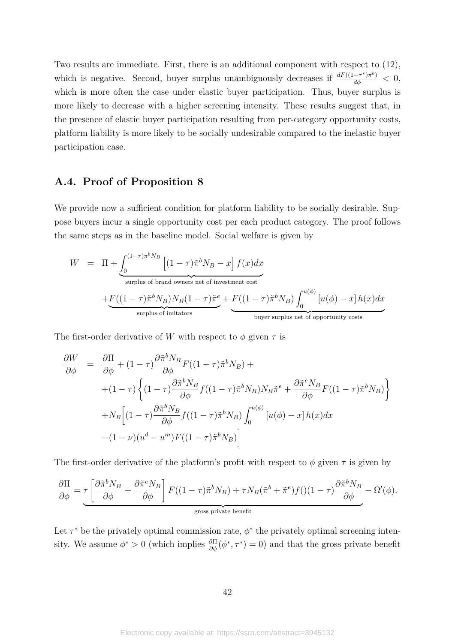Two results are immediate. First, there is an additional component with respect to (12), which is negative. Second, buyer surplus unambiguously decreases if  $\frac{dF((1-\tau^*)\tilde{\pi}^b)}{d\phi} < 0$ , which is more often the case under elastic buyer participation. Thus, buyer surplus is more likely to decrease with a higher screening intensity. These results suggest that, in the presence of elastic buyer participation resulting from per-category opportunity costs, platform liability is more likely to be socially undesirable compared to the inelastic buyer participation case.

# **A.4. Proof of Proposition 8**

We provide now a sufficient condition for platform liability to be socially desirable. Suppose buyers incur a single opportunity cost per each product category. The proof follows the same steps as in the baseline model. Social welfare is given by

$$
W = \Pi + \underbrace{\int_0^{(1-\tau)\tilde{\pi}^b N_B} \left[ (1-\tau)\tilde{\pi}^b N_B - x \right] f(x) dx}_{\text{surplus of brand owners net of investment cost}} + \underbrace{F((1-\tau)\tilde{\pi}^b N_B) N_B (1-\tau)\tilde{\pi}^e}_{\text{surplus of imitators}} + \underbrace{F((1-\tau)\tilde{\pi}^b N_B) \int_0^{u(\phi)} \left[ u(\phi) - x \right] h(x) dx}_{\text{buyer surplus net of opportunity costs}}
$$

The first-order derivative of *W* with respect to  $\phi$  given  $\tau$  is

$$
\frac{\partial W}{\partial \phi} = \frac{\partial \Pi}{\partial \phi} + (1 - \tau) \frac{\partial \tilde{\pi}^b N_B}{\partial \phi} F((1 - \tau) \tilde{\pi}^b N_B) +
$$
  
+ 
$$
(1 - \tau) \left\{ (1 - \tau) \frac{\partial \tilde{\pi}^b N_B}{\partial \phi} f((1 - \tau) \tilde{\pi}^b N_B) N_B \tilde{\pi}^e + \frac{\partial \tilde{\pi}^e N_B}{\partial \phi} F((1 - \tau) \tilde{\pi}^b N_B) \right\}
$$
  
+ 
$$
N_B \left[ (1 - \tau) \frac{\partial \tilde{\pi}^b N_B}{\partial \phi} f((1 - \tau) \tilde{\pi}^b N_B) \int_0^{u(\phi)} [u(\phi) - x] h(x) dx
$$
  
- 
$$
- (1 - \nu) (u^d - u^m) F((1 - \tau) \tilde{\pi}^b N_B) \right]
$$

The first-order derivative of the platform's profit with respect to  $\phi$  given  $\tau$  is given by

$$
\frac{\partial \Pi}{\partial \phi} = \underbrace{\tau \left[ \frac{\partial \tilde{\pi}^b N_B}{\partial \phi} + \frac{\partial \tilde{\pi}^e N_B}{\partial \phi} \right] F((1-\tau)\tilde{\pi}^b N_B) + \tau N_B (\tilde{\pi}^b + \tilde{\pi}^e) f((1-\tau)\frac{\partial \tilde{\pi}^b N_B}{\partial \phi} - \Omega'(\phi)).
$$

Let  $\tau^*$  be the privately optimal commission rate,  $\phi^*$  the privately optimal screening intensity. We assume  $\phi^* > 0$  (which implies  $\frac{\partial \Pi}{\partial \phi}(\phi^*, \tau^*) = 0$ ) and that the gross private benefit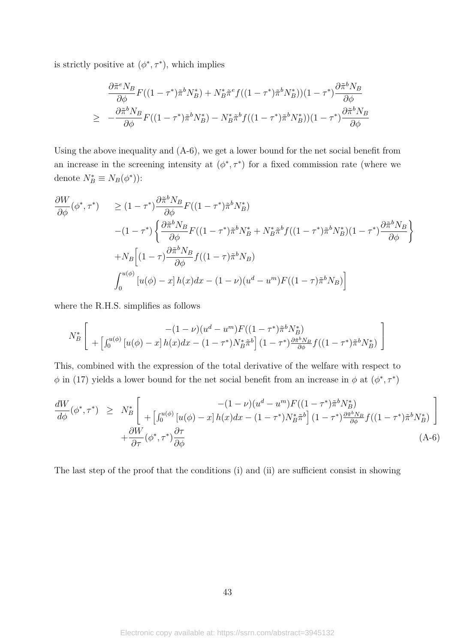is strictly positive at  $(\phi^*, \tau^*)$ , which implies

$$
\frac{\partial \tilde{\pi}^e N_B}{\partial \phi} F((1-\tau^*) \tilde{\pi}^b N_B^*) + N_B^* \tilde{\pi}^e f((1-\tau^*) \tilde{\pi}^b N_B^*) (1-\tau^*) \frac{\partial \tilde{\pi}^b N_B}{\partial \phi}
$$
  
\n
$$
\geq -\frac{\partial \tilde{\pi}^b N_B}{\partial \phi} F((1-\tau^*) \tilde{\pi}^b N_B^*) - N_B^* \tilde{\pi}^b f((1-\tau^*) \tilde{\pi}^b N_B^*) (1-\tau^*) \frac{\partial \tilde{\pi}^b N_B}{\partial \phi}
$$

Using the above inequality and (A-6), we get a lower bound for the net social benefit from an increase in the screening intensity at  $(\phi^*, \tau^*)$  for a fixed commission rate (where we denote  $N_B^* \equiv N_B(\phi^*)$ :

$$
\frac{\partial W}{\partial \phi}(\phi^*, \tau^*) \ge (1 - \tau^*) \frac{\partial \tilde{\pi}^b N_B}{\partial \phi} F((1 - \tau^*) \tilde{\pi}^b N_B^*)
$$
  
 
$$
-(1 - \tau^*) \left\{ \frac{\partial \tilde{\pi}^b N_B}{\partial \phi} F((1 - \tau^*) \tilde{\pi}^b N_B^* + N_B^* \tilde{\pi}^b f((1 - \tau^*) \tilde{\pi}^b N_B^*) (1 - \tau^*) \frac{\partial \tilde{\pi}^b N_B}{\partial \phi} \right\}
$$
  
 
$$
+ N_B \left[ (1 - \tau) \frac{\partial \tilde{\pi}^b N_B}{\partial \phi} f((1 - \tau) \tilde{\pi}^b N_B) \right]
$$
  
 
$$
\int_0^{u(\phi)} [u(\phi) - x] h(x) dx - (1 - \nu)(u^d - u^m) F((1 - \tau) \tilde{\pi}^b N_B) \right]
$$

where the R.H.S. simplifies as follows

$$
N_B^* \left[ \begin{array}{c} -(1 - \nu)(u^d - u^m) F((1 - \tau^*) \tilde{\pi}^b N_B^*) \\ + \left[ \int_0^{u(\phi)} \left[ u(\phi) - x \right] h(x) dx - (1 - \tau^*) N_B^* \tilde{\pi}^b \right] (1 - \tau^*) \frac{\partial \tilde{\pi}^b N_B}{\partial \phi} f((1 - \tau^*) \tilde{\pi}^b N_B^*) \end{array} \right]
$$

This, combined with the expression of the total derivative of the welfare with respect to  $\phi$  in (17) yields a lower bound for the net social benefit from an increase in  $\phi$  at  $(\phi^*, \tau^*)$ 

$$
\frac{dW}{d\phi}(\phi^*, \tau^*) \geq N_B^* \left[ \begin{array}{cc} -(1-\nu)(u^d - u^m)F((1-\tau^*)\tilde{\pi}^b N_B^*) \\ + \left[\int_0^{u(\phi)} \left[u(\phi) - x\right]h(x)dx - (1-\tau^*)N_B^*\tilde{\pi}^b\right](1-\tau^*)\frac{\partial \tilde{\pi}^b N_B}{\partial \phi}f((1-\tau^*)\tilde{\pi}^b N_B^*) \end{array} \right] + \frac{\partial W}{\partial \tau}(\phi^*, \tau^*)\frac{\partial \tau}{\partial \phi}
$$
\n(A-6)

The last step of the proof that the conditions (i) and (ii) are sufficient consist in showing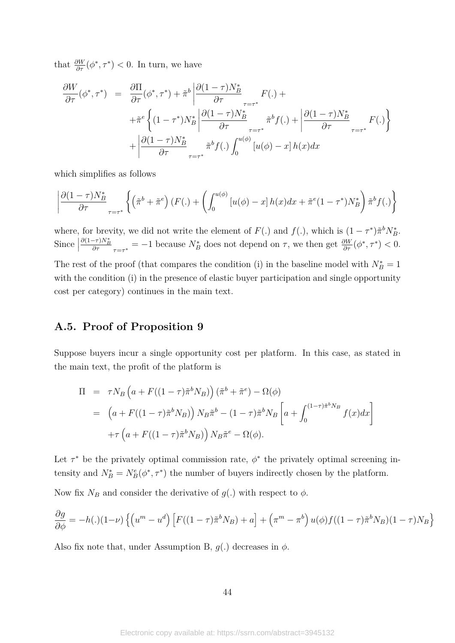that  $\frac{\partial W}{\partial \tau}(\phi^*, \tau^*) < 0$ . In turn, we have

$$
\frac{\partial W}{\partial \tau}(\phi^*, \tau^*) = \frac{\partial \Pi}{\partial \tau}(\phi^*, \tau^*) + \tilde{\pi}^b \left| \frac{\partial (1-\tau)N_B^*}{\partial \tau} F(.) + \right.
$$
  
 
$$
+ \tilde{\pi}^e \left\{ (1-\tau^*)N_B^* \left| \frac{\partial (1-\tau)N_B^*}{\partial \tau} \right|_{\tau=\tau^*} \tilde{\pi}^b f(.) + \left| \frac{\partial (1-\tau)N_B^*}{\partial \tau} F(.) \right| \right\}
$$
  
 
$$
+ \left| \frac{\partial (1-\tau)N_B^*}{\partial \tau} \right|_{\tau=\tau^*} \tilde{\pi}^b f(.) \int_0^{u(\phi)} [u(\phi) - x] h(x) dx
$$

which simplifies as follows

$$
\left| \frac{\partial (1-\tau)N_B^*}{\partial \tau} \right|_{\tau=\tau^*} \left\{ \left( \tilde{\pi}^b + \tilde{\pi}^e \right) \left( F(.) + \left( \int_0^{u(\phi)} \left[ u(\phi) - x \right] h(x) dx + \tilde{\pi}^e (1-\tau^*) N_B^* \right) \tilde{\pi}^b f(.) \right\} \right\}
$$

where, for brevity, we did not write the element of  $F(.)$  and  $f(.)$ , which is  $(1 - \tau^*)\tilde{\pi}^b N_B^*$ . Since  $\vert$  $\frac{\partial (1-\tau)N_B^*}{\partial \tau}$ <sub>*τ*=*τ*<sup>\*</sup></sub> = −1 because  $N_B^*$  does not depend on *τ*, we then get  $\frac{\partial W}{\partial \tau}(\phi^*, \tau^*)$  < 0. The rest of the proof (that compares the condition (i) in the baseline model with  $N_B^* = 1$ with the condition (i) in the presence of elastic buyer participation and single opportunity cost per category) continues in the main text.

# **A.5. Proof of Proposition 9**

Suppose buyers incur a single opportunity cost per platform. In this case, as stated in the main text, the profit of the platform is

$$
\Pi = \tau N_B \left( a + F((1-\tau)\tilde{\pi}^b N_B) \right) (\tilde{\pi}^b + \tilde{\pi}^e) - \Omega(\phi)
$$
  
\n
$$
= \left( a + F((1-\tau)\tilde{\pi}^b N_B) \right) N_B \tilde{\pi}^b - (1-\tau)\tilde{\pi}^b N_B \left[ a + \int_0^{(1-\tau)\tilde{\pi}^b N_B} f(x) dx \right]
$$
  
\n
$$
+ \tau \left( a + F((1-\tau)\tilde{\pi}^b N_B) \right) N_B \tilde{\pi}^e - \Omega(\phi).
$$

Let  $\tau^*$  be the privately optimal commission rate,  $\phi^*$  the privately optimal screening intensity and  $N_B^* = N_B^e(\phi^*, \tau^*)$  the number of buyers indirectly chosen by the platform.

Now fix  $N_B$  and consider the derivative of  $g(.)$  with respect to  $\phi$ .

$$
\frac{\partial g}{\partial \phi} = -h(.)(1-\nu)\left\{ \left( u^m - u^d \right) \left[ F((1-\tau)\tilde{\pi}^b N_B) + a \right] + \left( \pi^m - \pi^b \right) u(\phi) f((1-\tau)\tilde{\pi}^b N_B)(1-\tau) N_B \right\}
$$

Also fix note that, under Assumption B,  $q(.)$  decreases in  $\phi$ .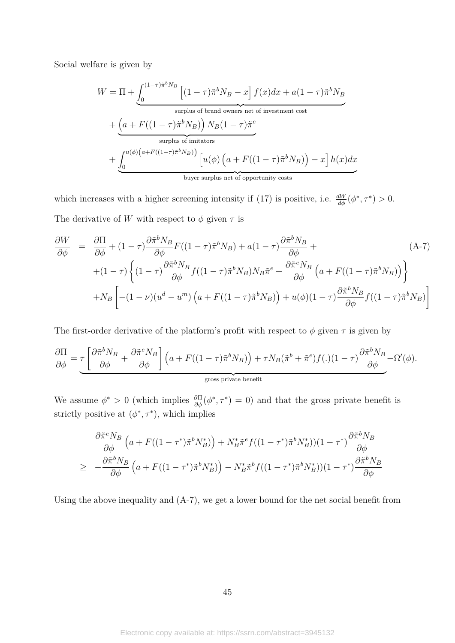Social welfare is given by

$$
W = \Pi + \underbrace{\int_0^{(1-\tau)\tilde{\pi}^b N_B} \left[ (1-\tau)\tilde{\pi}^b N_B - x \right] f(x) dx}_{\text{surplus of brand owners net of investment cost}} + \underbrace{\left( a + F((1-\tau)\tilde{\pi}^b N_B) \right) N_B (1-\tau)\tilde{\pi}^e}_{\text{surplus of imitators}} + \underbrace{\int_0^{u(\phi)\left( a + F((1-\tau)\tilde{\pi}^b N_B) \right)} \left[ u(\phi) \left( a + F((1-\tau)\tilde{\pi}^b N_B) \right) - x \right] h(x) dx}_{\text{buyer surplus net of opportunity costs}}
$$

which increases with a higher screening intensity if (17) is positive, i.e.  $\frac{dW}{d\phi}(\phi^*, \tau^*) > 0$ . The derivative of *W* with respect to  $\phi$  given  $\tau$  is

$$
\frac{\partial W}{\partial \phi} = \frac{\partial \Pi}{\partial \phi} + (1 - \tau) \frac{\partial \tilde{\pi}^b N_B}{\partial \phi} F((1 - \tau) \tilde{\pi}^b N_B) + a(1 - \tau) \frac{\partial \tilde{\pi}^b N_B}{\partial \phi} + (1 - \tau) \left\{ (1 - \tau) \frac{\partial \tilde{\pi}^b N_B}{\partial \phi} f((1 - \tau) \tilde{\pi}^b N_B) N_B \tilde{\pi}^e + \frac{\partial \tilde{\pi}^e N_B}{\partial \phi} \left( a + F((1 - \tau) \tilde{\pi}^b N_B) \right) \right\} + N_B \left[ -(1 - \nu) (u^d - u^m) \left( a + F((1 - \tau) \tilde{\pi}^b N_B) \right) + u(\phi)(1 - \tau) \frac{\partial \tilde{\pi}^b N_B}{\partial \phi} f((1 - \tau) \tilde{\pi}^b N_B) \right]
$$
\n(A-7)

The first-order derivative of the platform's profit with respect to  $\phi$  given  $\tau$  is given by

$$
\frac{\partial \Pi}{\partial \phi} = \underbrace{\tau \left[ \frac{\partial \tilde{\pi}^b N_B}{\partial \phi} + \frac{\partial \tilde{\pi}^e N_B}{\partial \phi} \right] \left( a + F((1-\tau)\tilde{\pi}^b N_B) \right) + \tau N_B (\tilde{\pi}^b + \tilde{\pi}^e) f(.) (1-\tau) \frac{\partial \tilde{\pi}^b N_B}{\partial \phi} - \Omega'(\phi).}
$$
\n
$$
\underbrace{\text{gross private benefit}}_{\text{gross private benefit}}
$$

We assume  $\phi^* > 0$  (which implies  $\frac{\partial \Pi}{\partial \phi}(\phi^*, \tau^*) = 0$ ) and that the gross private benefit is strictly positive at  $(\phi^*, \tau^*)$ , which implies

$$
\frac{\partial \tilde{\pi}^e N_B}{\partial \phi} \left( a + F((1 - \tau^*) \tilde{\pi}^b N_B^*) \right) + N_B^* \tilde{\pi}^e f((1 - \tau^*) \tilde{\pi}^b N_B^*) (1 - \tau^*) \frac{\partial \tilde{\pi}^b N_B}{\partial \phi}
$$
\n
$$
\geq -\frac{\partial \tilde{\pi}^b N_B}{\partial \phi} \left( a + F((1 - \tau^*) \tilde{\pi}^b N_B^*) \right) - N_B^* \tilde{\pi}^b f((1 - \tau^*) \tilde{\pi}^b N_B^*) (1 - \tau^*) \frac{\partial \tilde{\pi}^b N_B}{\partial \phi}
$$

Using the above inequality and (A-7), we get a lower bound for the net social benefit from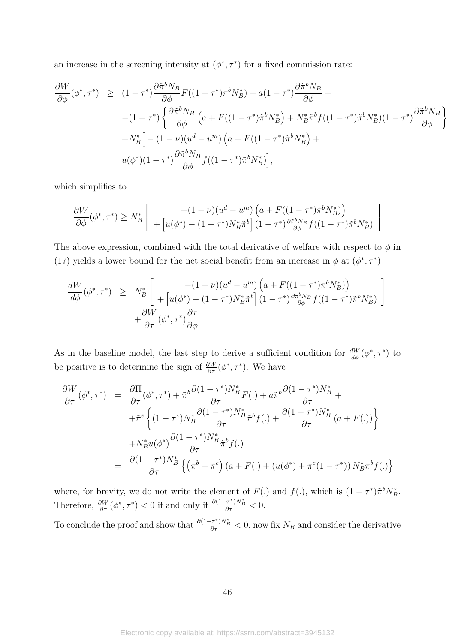an increase in the screening intensity at  $(\phi^*, \tau^*)$  for a fixed commission rate:

$$
\frac{\partial W}{\partial \phi}(\phi^*, \tau^*) \ge (1 - \tau^*) \frac{\partial \tilde{\pi}^b N_B}{\partial \phi} F((1 - \tau^*) \tilde{\pi}^b N_B^*) + a(1 - \tau^*) \frac{\partial \tilde{\pi}^b N_B}{\partial \phi} +
$$
  
\n
$$
-(1 - \tau^*) \left\{ \frac{\partial \tilde{\pi}^b N_B}{\partial \phi} \left( a + F((1 - \tau^*) \tilde{\pi}^b N_B^*) + N_B^* \tilde{\pi}^b f((1 - \tau^*) \tilde{\pi}^b N_B^*) (1 - \tau^*) \frac{\partial \tilde{\pi}^b N_B}{\partial \phi} \right\} + N_B^* \left[ -(1 - \nu)(u^d - u^m) \left( a + F((1 - \tau^*) \tilde{\pi}^b N_B^*) \right) +
$$
  
\n
$$
u(\phi^*)(1 - \tau^*) \frac{\partial \tilde{\pi}^b N_B}{\partial \phi} f((1 - \tau^*) \tilde{\pi}^b N_B^*) \right],
$$

which simplifies to

$$
\frac{\partial W}{\partial \phi}(\phi^*, \tau^*) \ge N_B^* \left[ \begin{array}{c} -(1-\nu)(u^d - u^m) \left( a + F((1-\tau^*)\tilde{\pi}^b N_B^*) \right) \\ + \left[ u(\phi^*) - (1-\tau^*)N_B^* \tilde{\pi}^b \right] (1-\tau^*) \frac{\partial \tilde{\pi}^b N_B}{\partial \phi} f((1-\tau^*)\tilde{\pi}^b N_B^*) \end{array} \right]
$$

The above expression, combined with the total derivative of welfare with respect to  $\phi$  in (17) yields a lower bound for the net social benefit from an increase in  $\phi$  at  $(\phi^*, \tau^*)$ 

$$
\frac{dW}{d\phi}(\phi^*, \tau^*) \geq N_B^* \left[ \begin{array}{cc} -(1-\nu)(u^d - u^m) \left( a + F((1-\tau^*)\tilde{\pi}^b N_B^*) \right) \\ + \left[ u(\phi^*) - (1-\tau^*)N_B^* \tilde{\pi}^b \right] (1-\tau^*) \frac{\partial \tilde{\pi}^b N_B}{\partial \phi} f((1-\tau^*)\tilde{\pi}^b N_B^*) \\ + \frac{\partial W}{\partial \tau} (\phi^*, \tau^*) \frac{\partial \tau}{\partial \phi} \end{array} \right]
$$

As in the baseline model, the last step to derive a sufficient condition for  $\frac{dW}{d\phi}(\phi^*, \tau^*)$  to be positive is to determine the sign of  $\frac{\partial W}{\partial \tau}(\phi^*, \tau^*)$ . We have

$$
\frac{\partial W}{\partial \tau}(\phi^*, \tau^*) = \frac{\partial \Pi}{\partial \tau}(\phi^*, \tau^*) + \tilde{\pi}^b \frac{\partial (1 - \tau^*)N_B^*}{\partial \tau} F(.) + a\tilde{\pi}^b \frac{\partial (1 - \tau^*)N_B^*}{\partial \tau} + \n+ \tilde{\pi}^e \left\{ (1 - \tau^*)N_B^* \frac{\partial (1 - \tau^*)N_B^*}{\partial \tau} \tilde{\pi}^b f(.) + \frac{\partial (1 - \tau^*)N_B^*}{\partial \tau} (a + F(.)) \right\} \n+ N_B^* u(\phi^*) \frac{\partial (1 - \tau^*)N_B^*}{\partial \tau} \tilde{\pi}^b f(.) \n= \frac{\partial (1 - \tau^*)N_B^*}{\partial \tau} \left\{ \left( \tilde{\pi}^b + \tilde{\pi}^e \right) (a + F(.) + (u(\phi^*) + \tilde{\pi}^e (1 - \tau^*)) N_B^* \tilde{\pi}^b f(.) \right\}
$$

where, for brevity, we do not write the element of  $F(.)$  and  $f(.)$ , which is  $(1 - \tau^*)\tilde{\pi}^b N_B^*$ . Therefore,  $\frac{\partial W}{\partial \tau}(\phi^*, \tau^*) < 0$  if and only if  $\frac{\partial (1-\tau^*)N_B^*}{\partial \tau} < 0$ .

To conclude the proof and show that  $\frac{\partial (1-\tau^*)N_B^*}{\partial \tau} < 0$ , now fix  $N_B$  and consider the derivative

46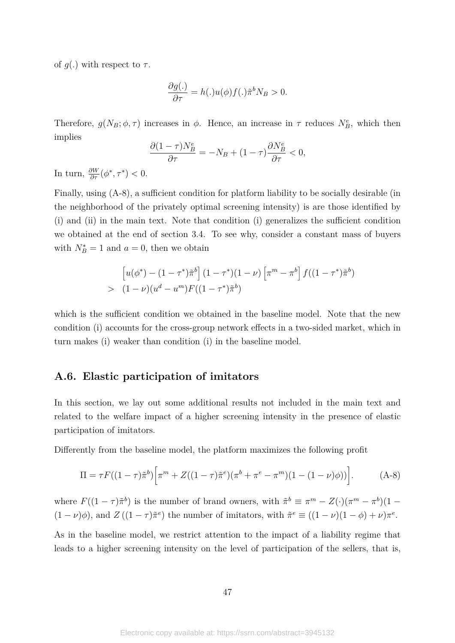of  $q(.)$  with respect to  $\tau$ .

$$
\frac{\partial g(.)}{\partial \tau} = h(.)u(\phi)f(.)\tilde{\pi}^b N_B > 0.
$$

Therefore,  $g(N_B; \phi, \tau)$  increases in  $\phi$ . Hence, an increase in  $\tau$  reduces  $N_B^e$ , which then implies

$$
\frac{\partial (1-\tau)N_B^e}{\partial \tau} = -N_B + (1-\tau)\frac{\partial N_B^e}{\partial \tau} < 0,
$$

In turn,  $\frac{\partial W}{\partial \tau}(\phi^*, \tau^*) < 0$ .

Finally, using (A-8), a sufficient condition for platform liability to be socially desirable (in the neighborhood of the privately optimal screening intensity) is are those identified by (i) and (ii) in the main text. Note that condition (i) generalizes the sufficient condition we obtained at the end of section 3.4. To see why, consider a constant mass of buyers with  $N_B^* = 1$  and  $a = 0$ , then we obtain

$$
\[u(\phi^*) - (1 - \tau^*)\tilde{\pi}^b\] (1 - \tau^*)(1 - \nu) \left[\pi^m - \pi^b\right] f((1 - \tau^*)\tilde{\pi}^b) > (1 - \nu)(u^d - u^m) F((1 - \tau^*)\tilde{\pi}^b)
$$

which is the sufficient condition we obtained in the baseline model. Note that the new condition (i) accounts for the cross-group network effects in a two-sided market, which in turn makes (i) weaker than condition (i) in the baseline model.

### **A.6. Elastic participation of imitators**

In this section, we lay out some additional results not included in the main text and related to the welfare impact of a higher screening intensity in the presence of elastic participation of imitators.

Differently from the baseline model, the platform maximizes the following profit

$$
\Pi = \tau F((1-\tau)\tilde{\pi}^b) \Big[ \pi^m + Z((1-\tau)\tilde{\pi}^e) (\pi^b + \pi^e - \pi^m) (1 - (1-\nu)\phi)) \Big]. \tag{A-8}
$$

where  $F((1 - \tau)\tilde{\pi}^b)$  is the number of brand owners, with  $\tilde{\pi}^b \equiv \pi^m - Z(\cdot)(\pi^m - \pi^b)(1 - \tau)$  $(1 - \nu)\phi$ , and  $Z((1 - \tau)\tilde{\pi}^e)$  the number of imitators, with  $\tilde{\pi}^e \equiv ((1 - \nu)(1 - \phi) + \nu)\pi^e$ .

As in the baseline model, we restrict attention to the impact of a liability regime that leads to a higher screening intensity on the level of participation of the sellers, that is,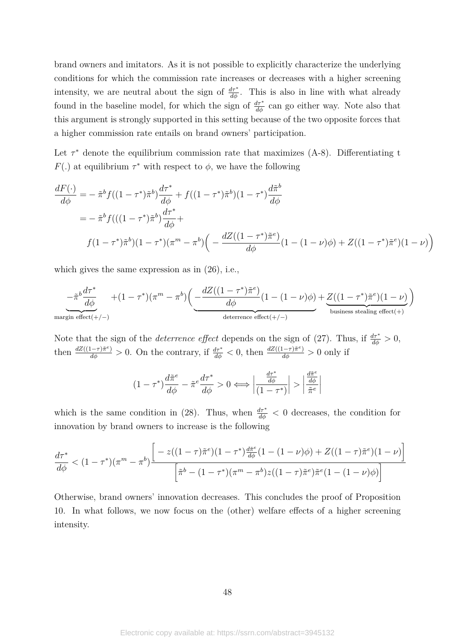brand owners and imitators. As it is not possible to explicitly characterize the underlying conditions for which the commission rate increases or decreases with a higher screening intensity, we are neutral about the sign of  $\frac{d\tau^*}{d\phi}$ . This is also in line with what already found in the baseline model, for which the sign of  $\frac{d\tau^*}{d\phi}$  can go either way. Note also that this argument is strongly supported in this setting because of the two opposite forces that a higher commission rate entails on brand owners' participation.

Let  $\tau^*$  denote the equilibrium commission rate that maximizes  $(A-8)$ . Differentiating t *F*(*.*) at equilibrium  $\tau^*$  with respect to  $\phi$ , we have the following

$$
\frac{dF(\cdot)}{d\phi} = -\tilde{\pi}^b f((1-\tau^*)\tilde{\pi}^b) \frac{d\tau^*}{d\phi} + f((1-\tau^*)\tilde{\pi}^b)(1-\tau^*) \frac{d\tilde{\pi}^b}{d\phi}
$$
\n
$$
= -\tilde{\pi}^b f(((1-\tau^*)\tilde{\pi}^b) \frac{d\tau^*}{d\phi} + f((1-\tau^*)\tilde{\pi}^b)(1-\tau^*) (\pi^m - \pi^b) \left( -\frac{dZ((1-\tau^*)\tilde{\pi}^e)}{d\phi} (1-(1-\nu)\phi) + Z((1-\tau^*)\tilde{\pi}^e)(1-\nu) \right)
$$

which gives the same expression as in (26), i.e.,

$$
-\tilde{\pi}^b \frac{d\tau^*}{d\phi} + (1-\tau^*)(\pi^m-\pi^b) \bigg(\underbrace{-\frac{dZ((1-\tau^*)\tilde{\pi}^e)}{d\phi}(1-(1-\nu)\phi)}_{\text{deterrence effect}(+/-)} + \underbrace{Z((1-\tau^*)\tilde{\pi}^e)(1-\nu)}_{\text{business steadily effect}(+)}\bigg)
$$

Note that the sign of the *deterrence effect* depends on the sign of (27). Thus, if  $\frac{d\tau^*}{d\phi} > 0$ , then  $\frac{dZ((1-\tau)\tilde{\pi}^e)}{d\phi} > 0$ . On the contrary, if  $\frac{d\tau^*}{d\phi} < 0$ , then  $\frac{dZ((1-\tau)\tilde{\pi}^e)}{d\phi} > 0$  only if

$$
(1-\tau^*)\frac{d\tilde{\pi}^e}{d\phi}-\tilde{\pi}^e\frac{d\tau^*}{d\phi}>0\Longleftrightarrow\left|\frac{\frac{d\tau^*}{d\phi}}{(1-\tau^*)}\right|>\left|\frac{\frac{d\tilde{\pi}^e}{d\phi}}{\tilde{\pi}^e}\right|
$$

which is the same condition in (28). Thus, when  $\frac{d\tau^*}{d\phi} < 0$  decreases, the condition for innovation by brand owners to increase is the following

$$
\frac{d\tau^*}{d\phi} < (1 - \tau^*)(\pi^m - \pi^b) \frac{\left[ -z((1 - \tau)\tilde{\pi}^e)(1 - \tau^*)\frac{d\tilde{\pi}^e}{d\phi}(1 - (1 - \nu)\phi) + Z((1 - \tau)\tilde{\pi}^e)(1 - \nu) \right]}{\left[ \tilde{\pi}^b - (1 - \tau^*)(\pi^m - \pi^b)z((1 - \tau)\tilde{\pi}^e)\tilde{\pi}^e(1 - (1 - \nu)\phi) \right]}
$$

Otherwise, brand owners' innovation decreases. This concludes the proof of Proposition 10. In what follows, we now focus on the (other) welfare effects of a higher screening intensity.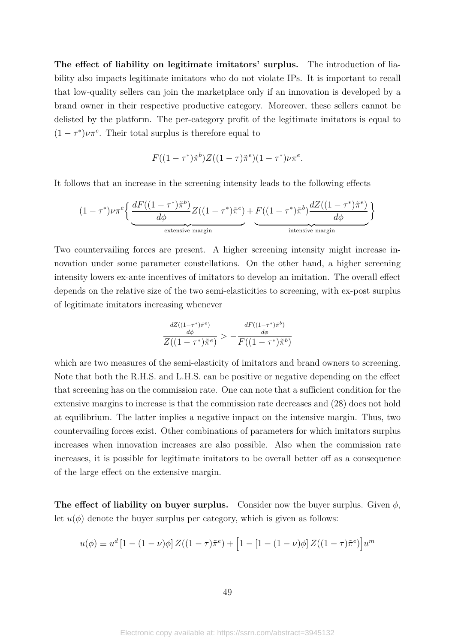**The effect of liability on legitimate imitators' surplus.** The introduction of liability also impacts legitimate imitators who do not violate IPs. It is important to recall that low-quality sellers can join the marketplace only if an innovation is developed by a brand owner in their respective productive category. Moreover, these sellers cannot be delisted by the platform. The per-category profit of the legitimate imitators is equal to  $(1 - \tau^*) \nu \pi^e$ . Their total surplus is therefore equal to

$$
F((1-\tau^*)\tilde{\pi}^b)Z((1-\tau)\tilde{\pi}^e)(1-\tau^*)\nu\pi^e.
$$

It follows that an increase in the screening intensity leads to the following effects

$$
(1 - \tau^*)\nu\pi^e \Big\{\underbrace{\frac{dF((1 - \tau^*)\tilde{\pi}^b)}{d\phi}Z((1 - \tau^*)\tilde{\pi}^e)}_{\text{extensive margin}} + \underbrace{F((1 - \tau^*)\tilde{\pi}^b)\frac{dZ((1 - \tau^*)\tilde{\pi}^e)}{d\phi}}_{\text{intensive margin}}\Big\}
$$

Two countervailing forces are present. A higher screening intensity might increase innovation under some parameter constellations. On the other hand, a higher screening intensity lowers ex-ante incentives of imitators to develop an imitation. The overall effect depends on the relative size of the two semi-elasticities to screening, with ex-post surplus of legitimate imitators increasing whenever

$$
\frac{\frac{dZ((1-\tau^*)\tilde{\pi}^e)}{d\phi}}{Z((1-\tau^*)\tilde{\pi}^e)} > -\frac{\frac{dF((1-\tau^*)\tilde{\pi}^b)}{d\phi}}{F((1-\tau^*)\tilde{\pi}^b)}
$$

which are two measures of the semi-elasticity of imitators and brand owners to screening. Note that both the R.H.S. and L.H.S. can be positive or negative depending on the effect that screening has on the commission rate. One can note that a sufficient condition for the extensive margins to increase is that the commission rate decreases and (28) does not hold at equilibrium. The latter implies a negative impact on the intensive margin. Thus, two countervailing forces exist. Other combinations of parameters for which imitators surplus increases when innovation increases are also possible. Also when the commission rate increases, it is possible for legitimate imitators to be overall better off as a consequence of the large effect on the extensive margin.

**The effect of liability on buyer surplus.** Consider now the buyer surplus. Given  $\phi$ , let  $u(\phi)$  denote the buyer surplus per category, which is given as follows:

$$
u(\phi) \equiv u^d \left[ 1 - (1 - \nu)\phi \right] Z((1 - \tau)\tilde{\pi}^e) + \left[ 1 - (1 - (\nu)\phi) Z((1 - \tau)\tilde{\pi}^e) \right] u^m
$$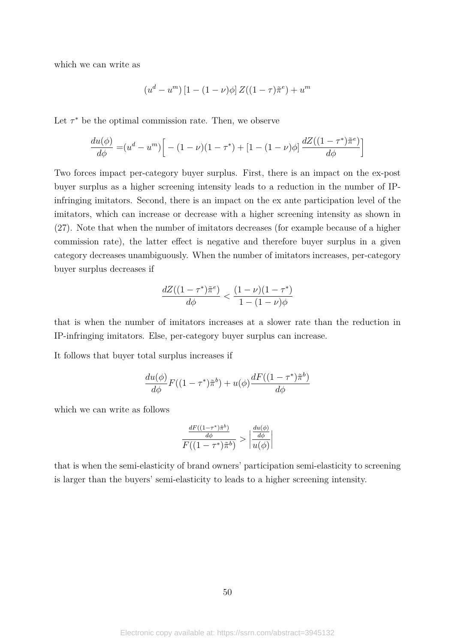which we can write as

$$
(u^{d} - u^{m}) [1 - (1 - \nu)\phi] Z((1 - \tau)\tilde{\pi}^{e}) + u^{m}
$$

Let  $\tau^*$  be the optimal commission rate. Then, we observe

$$
\frac{du(\phi)}{d\phi} = (u^d - u^m) \left[ -(1 - \nu)(1 - \tau^*) + [1 - (1 - \nu)\phi] \frac{dZ((1 - \tau^*)\tilde{\pi}^e)}{d\phi} \right]
$$

Two forces impact per-category buyer surplus. First, there is an impact on the ex-post buyer surplus as a higher screening intensity leads to a reduction in the number of IPinfringing imitators. Second, there is an impact on the ex ante participation level of the imitators, which can increase or decrease with a higher screening intensity as shown in (27). Note that when the number of imitators decreases (for example because of a higher commission rate), the latter effect is negative and therefore buyer surplus in a given category decreases unambiguously. When the number of imitators increases, per-category buyer surplus decreases if

$$
\frac{dZ((1-\tau^*)\tilde{\pi}^e)}{d\phi} < \frac{(1-\nu)(1-\tau^*)}{1-(1-\nu)\phi}
$$

that is when the number of imitators increases at a slower rate than the reduction in IP-infringing imitators. Else, per-category buyer surplus can increase.

It follows that buyer total surplus increases if

$$
\frac{du(\phi)}{d\phi}F((1-\tau^*)\tilde{\pi}^b) + u(\phi)\frac{dF((1-\tau^*)\tilde{\pi}^b)}{d\phi}
$$

which we can write as follows

$$
\frac{\frac{dF((1-\tau^*)\tilde{\pi}^b)}{d\phi}}{F((1-\tau^*)\tilde{\pi}^b)} > \left|\frac{\frac{du(\phi)}{d\phi}}{u(\phi)}\right|
$$

that is when the semi-elasticity of brand owners' participation semi-elasticity to screening is larger than the buyers' semi-elasticity to leads to a higher screening intensity.